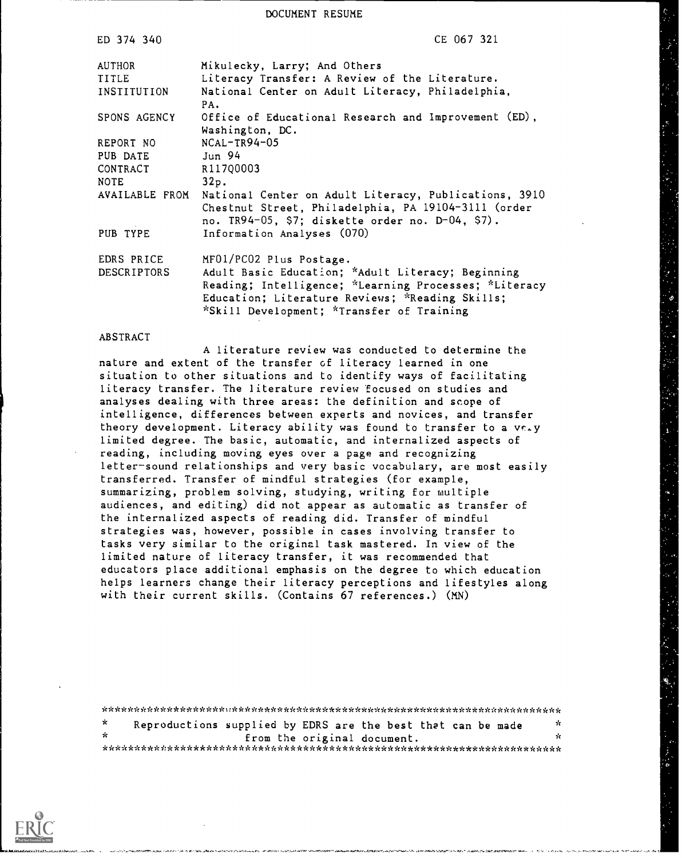DOCUMENT RESUME

| ED 374 340     | CE 067 321                                                                                                                                                       |
|----------------|------------------------------------------------------------------------------------------------------------------------------------------------------------------|
| AUTHOR         | Mikulecky, Larry; And Others                                                                                                                                     |
| <b>TITLE</b>   | Literacy Transfer: A Review of the Literature.                                                                                                                   |
| INSTITUTION    | National Center on Adult Literacy, Philadelphia,<br>PA.                                                                                                          |
| SPONS AGENCY   | Office of Educational Research and Improvement (ED),<br>Washington, DC.                                                                                          |
| REPORT NO      | $NCAL-TR94-05$                                                                                                                                                   |
| PUB DATE       | Jun 94                                                                                                                                                           |
| CONTRACT       | R117Q0003                                                                                                                                                        |
| NOTE           | 32p.                                                                                                                                                             |
| AVAILABLE FROM | National Center on Adult Literacy, Publications, 3910<br>Chestnut Street, Philadelphia, PA 19104-3111 (order<br>no. TR94-05, \$7; diskette order no. D-04, \$7). |
| PUB TYPE       | Information Analyses (070)                                                                                                                                       |
| EDRS PRICE     | MF01/PC02 Plus Postage.                                                                                                                                          |
| DESCRIPTORS    | Adult Basic Education; *Adult Literacy; Beginning<br>Reading; Intelligence; *Learning Processes; *Literacy<br>Education; Literature Reviews; *Reading Skills;    |
|                | *Skill Development; *Transfer of Training                                                                                                                        |

#### ABSTRACT

A literature review was conducted to determine the nature and extent of the transfer of literacy learned in one situation to other situations and to identify ways of facilitating literacy transfer. The literature review focused on studies and analyses dealing with three areas: the definition and scope of intelligence, differences between experts and novices, and transfer theory development. Literacy ability was found to transfer to a ve.y limited degree. The basic, automatic, and internalized aspects of reading, including moving eyes over a page and recognizing letter-sound relationships and very basic vocabulary, are most easily transferred. Transfer of mindful strategies (for example, summarizing, problem solving, studying, writing for multiple audiences, and editing) did not appear as automatic as transfer of the internalized aspects of reading did. Transfer of mindful strategies was, however, possible in cases involving transfer to tasks very similar to the original task mastered. In view of the limited nature of literacy transfer, it was recommended that educators place additional emphasis on the degree to which education helps learners change their literacy perceptions and lifestyles along with their current skills. (Contains 67 references.) (MN)

\*\*\*\*\*\*\*\*\*\*\*\*\*\*\*\*\*\*\*1:\*\*\*\*\*\*\*\*\*\*\*\*\*\*\*\*\*\*\*\*\*\*\*\*\*\*\*\*\*\*\*\*\*\*\*\*\*\*\*\*\*\*\*\*\*\*\*\*\*\*\*  $\mathbf{x}$ Reproductions supplied by EDRS are the best that can be made  $\frac{1}{x}$ from the original document. \*\*\*\*\*\*\*\*\*\*\*\*\*\*\*\*\*\*\*\*\*\*\*\*\*\*\*\*\*\*\*\*\*\*\*\*\*\*\*\*\*\*\*\*\*\*\*\*\*\*\*\*\*\*\*\*\*\*\*\*\*\*\*\*\*\*\*\*\*\*\*



11111.1..1.2.U10,101,111,...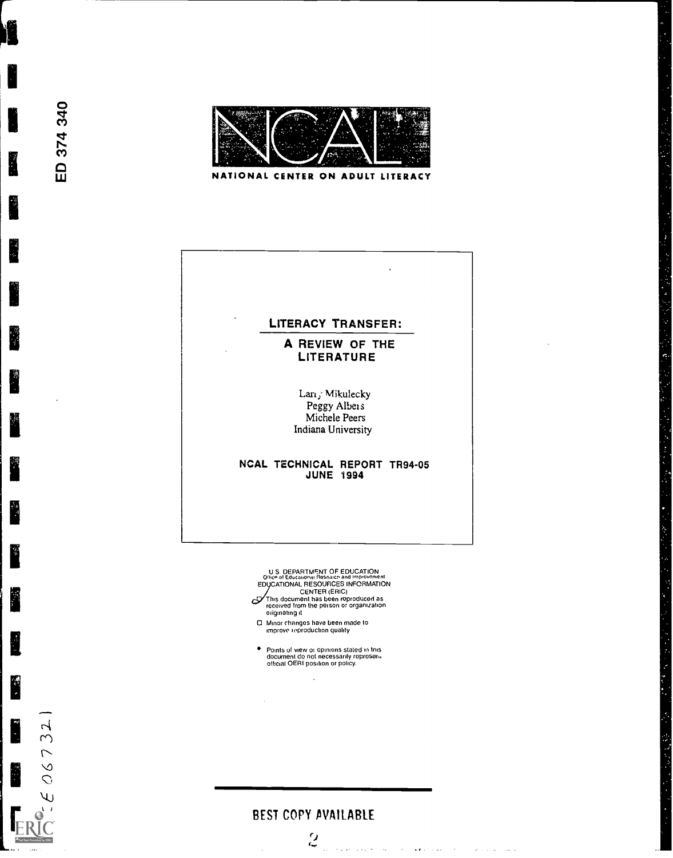

ED 374 340

r.

微

ERIC

 $606732$ 

NATIONAL CENTER ON ADULT LITERACY

# LITERACY TRANSFER:

# A REVIEW OF THE LITERATURE

ふっき ゆうかい アイカ きっかい かいかくきょう まんしき

Lan; Mikulecky Peggy Albers Michele Peers Indiana University

#### NCAL TECHNICAL REPORT TR94-05 JUNE 1994

U S DEPARTMENT OF EDUCATION<br>Office of Educational Resourch and Improvement<br>EDUCATIONAL RESOURCES INFORMATION /<br>This document has been reproduced as<br>received from the person or organization<br>originating it

- 
- Minor changes have been made to improve inproduction quality
- $\bullet$ Points of view or opinions stated in this document do not necessarily represen, official OERI position or policy.

# BEST COPY AVAILABLE



الأسوار المستورد فلأراض والمتحدث والمقلوب والمستحدث والمحاولات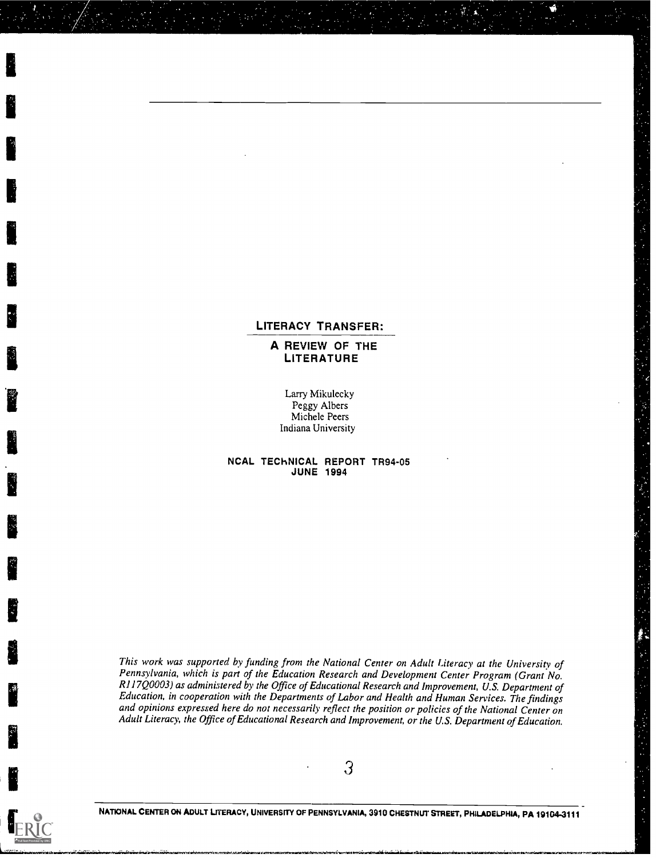### LITERACY TRANSFER:

A REVIEW OF THE **LITERATURE** 

Larry Mikulecky Peggy Albers Michele Peers Indiana University

11. In 1972, the same state of the same state of the same state of the same state of the same state of the same state of the same state of the same state of the same state of the same state of the same state of the same st

 $\sum_{i=1}^n a_i$ 

ERIC

NCAL TEChNICAL REPORT TR94-05 JUNE 1994

This work was supported by funding from the National Center on Adult Literacy at the University of Pennsylvania, which is part of the Education Research and Development Center Program (Grant No. RI I 7Q0003) as administered by the Office of Educational Research and Improvement, U.S. Department of Education, in cooperation with the Departments of Labor and Health and Human Services. The findings and opinions expressed here do not necessarily reflect the position or policies of the National Center on Adult Literacy, the Office of Educational Research and Improvement, or the U.S. Department of Education.

3

NATIONAL CENTER ON ADULT LITERACY, UNIVERSITY OF PENNSYLVANIA, 3910 CHESTNUT STREET, PHILADELPHIA, PA 19104-3111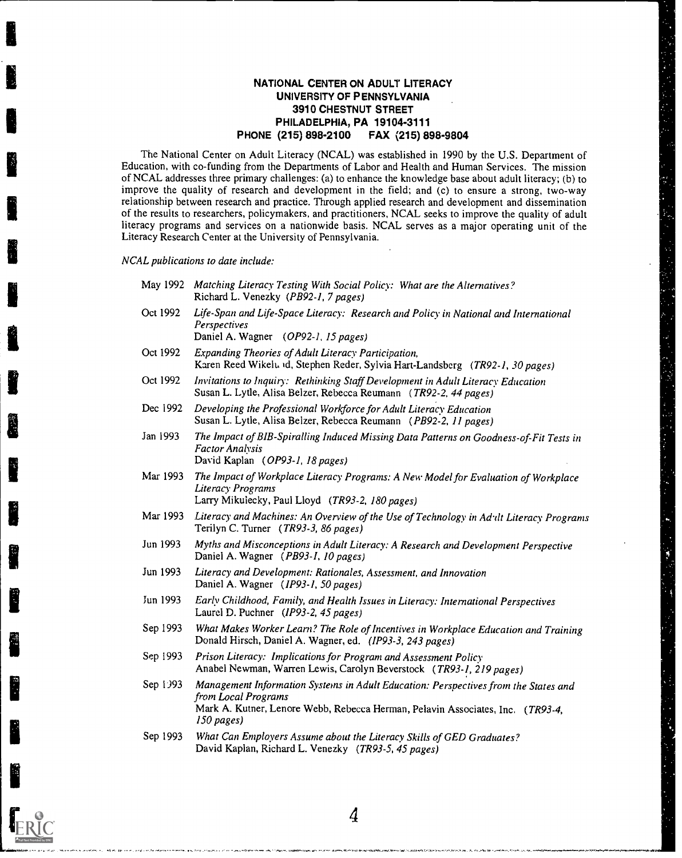## NATIONAL CENTER ON ADULT LITERACY UNIVERSITY OF PENNSYLVANIA 3910 CHESTNUT STREET PHILADELPHIA, PA 19104-3111 PHONE (215) 898-2100 FAX (215) 898-9804

The National Center on Adult Literacy (NCAL) was established in 1990 by the U.S. Department of Education, with co-funding from the Departments of Labor and Health and Human Services. The mission of NCAL addresses three primary challenges: (a) to enhance the knowledge base about adult literacy; (b) to improve the quality of research and development in the field; and (c) to ensure a strong, two-way relationship between research and practice. Through applied research and development and dissemination of the results to researchers, policymakers, and practitioners, NCAL seeks to improve the quality of adult literacy programs and services on a nationwide basis. NCAL serves as a major operating unit of the Literacy Research Center at the University of Pennsylvania.

NCAL publications to date include:

- May 1992 Matching Literacy Testing With Social Policy: What are the Alternatives? Richard L. Venezky (PB92-1, 7 pages)
- Oct 1992 Life-Span and Life-Space Literacy: Research and Policy in National and International **Perspectives** Daniel A. Wagner (0P92-1, 15 pages)
- Oct 1992 Expanding Theories of Adult Literacy Participation, Karen Reed Wikelt, Id, Stephen Reder, Sylvia Hart-Landsberg (TR92-1, 30 pages)
- Oct 1992 Invitations to Inquiry: Rethinking Staff Development in Adult Literacy Education Susan L. Lytle, Alisa Belzer, Rebecca Reumann (TR92-2, 44 pages)
- Dec 1992 Developing the Professional Workforce for Adult Literacy Education Susan L. Lytle, Alisa Belzer, Rebecca Reumann (PB92-2, 11 pages)
- Jan 1993 The Impact of BIB-Spiralling Induced Missing Data Patterns on Goodness-of-Fit Tests in Factor Analysis David Kaplan (OP93-1, 18 pages)
- Mar 1993 The Impact of Workplace Literacy Programs: A New Model for Evaluation of Workplace Literacy Programs Larry Mikuiecky, Paul Lloyd (TR93-2, 180 pages)
- Mar 1993 Literacy and Machines: An Overview of the Use of Technology in Adult Literacy Programs Terilyn C. Turner (TR93-3, 86 pages)
- Jun 1993 Myths and Misconceptions in Adult Literacy: A Research and Development Perspective Daniel A. Wagner (PB93-1, 10 pages)
- Jun 1993 Literacy and Development: Rationales, Assessment, and Innovation Daniel A. Wagner (IP93-1, 50 pages)
- Jun 1993 Early Childhood, Family, and Health Issues in Literacy: International Perspectives Laurel D. Puchner (IP93-2, 45 pages)
- Sep 1993 What Makes Worker Learn? The Role of Incentives in Workplace Education and Training Donald Hirsch, Daniel A. Wagner, ed. (IP93-3, 243 pages)
- Sep 1993 Prison Literacy: Implications for Program and Assessment Policy Anabel Newman, Warren Lewis, Carolyn Beverstock ( TR93-I, 219 pages)
- Sep 1)93 Management Information Systems in Adult Education: Perspectives from the States and from Local Programs Mark A. Kutner, Lenore Webb, Rebecca Herman, Pelavin Associates, Inc. (TR93-4, 150 pages)

4

Sep 1993 What Can Employers Assume about the Literacy Skills of GED Graduates? David Kaplan, Richard L. Venezky (TR93-5, 45 pages)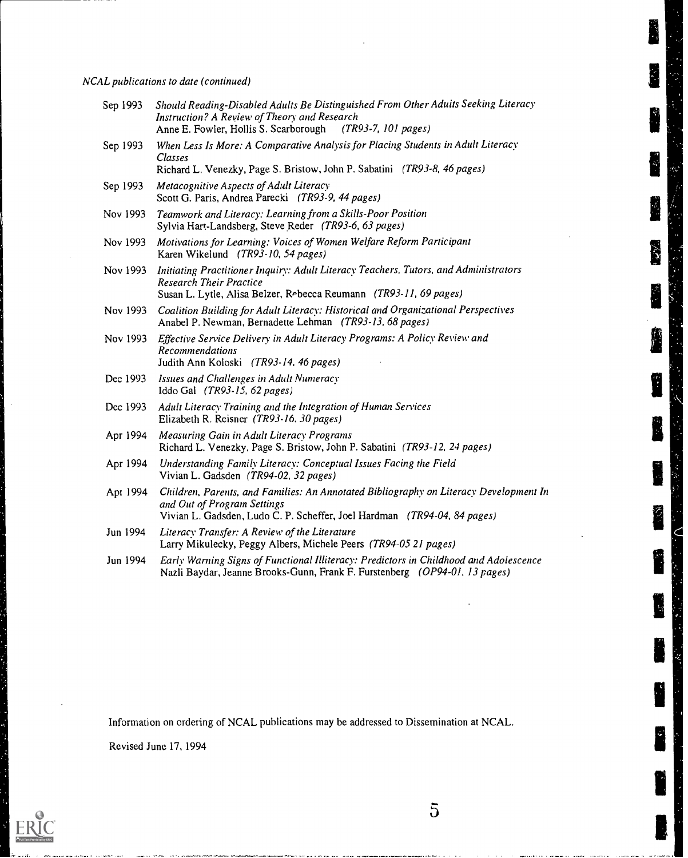NCAL publications to date (continued)

| Sep 1993 | Should Reading-Disabled Adults Be Distinguished From Other Adults Seeking Literacy<br><b>Instruction? A Review of Theory and Research</b><br>Anne E. Fowler, Hollis S. Scarborough<br>(TR93-7, 101 pages) |  |
|----------|-----------------------------------------------------------------------------------------------------------------------------------------------------------------------------------------------------------|--|
| Sep 1993 | When Less Is More: A Comparative Analysis for Placing Students in Adult Literacy<br>Classes<br>Richard L. Venezky, Page S. Bristow, John P. Sabatini (TR93-8, 46 pages)                                   |  |
| Sep 1993 | Metacognitive Aspects of Adult Literacy<br>Scott G. Paris, Andrea Parecki (TR93-9, 44 pages)                                                                                                              |  |
| Nov 1993 | Teamwork and Literacy: Learning from a Skills-Poor Position<br>Sylvia Hart-Landsberg, Steve Reder (TR93-6, 63 pages)                                                                                      |  |
| Nov 1993 | Motivations for Learning: Voices of Women Welfare Reform Participant<br>Karen Wikelund (TR93-10, 54 pages)                                                                                                |  |
| Nov 1993 | Initiating Practitioner Inquiry: Adult Literacy Teachers, Tutors, and Administrators<br><b>Research Their Practice</b><br>Susan L. Lytle, Alisa Belzer, Rebecca Reumann (TR93-11, 69 pages)               |  |
| Nov 1993 | Coalition Building for Adult Literacy: Historical and Organizational Perspectives<br>Anabel P. Newman, Bernadette Lehman (TR93-13, 68 pages)                                                              |  |
| Nov 1993 | Effective Service Delivery in Adult Literacy Programs: A Policy Review and<br><b>Recommendations</b><br>Judith Ann Koloski (TR93-14, 46 pages)                                                            |  |
| Dec 1993 | Issues and Challenges in Adult Numeracy<br>Iddo Gal (TR93-15, 62 pages)                                                                                                                                   |  |
| Dec 1993 | Adult Literacy Training and the Integration of Human Services<br>Elizabeth R. Reisner (TR93-16, 30 pages)                                                                                                 |  |
| Apr 1994 | <b>Measuring Gain in Adult Literacy Programs</b><br>Richard L. Venezky, Page S. Bristow, John P. Sabatini (TR93-12, 24 pages)                                                                             |  |
| Apr 1994 | Understanding Family Literacy: Conceptual Issues Facing the Field<br>Vivian L. Gadsden (TR94-02, 32 pages)                                                                                                |  |
| Apr 1994 | Children, Parents, and Families: An Annotated Bibliography on Literacy Development In<br>and Out of Program Settings<br>Vivian L. Gadsden, Ludo C. P. Scheffer, Joel Hardman (TR94-04, 84 pages)          |  |
| Jun 1994 | Literacy Transfer: A Review of the Literature<br>Larry Mikulecky, Peggy Albers, Michele Peers (TR94-05 21 pages)                                                                                          |  |
| Jun 1994 | Early Warning Signs of Functional Illiteracy: Predictors in Childhood and Adolescence<br>Nazli Baydar, Jeanne Brooks-Gunn, Frank F. Furstenberg (OP94-01, 13 pages)                                       |  |

**TAN** 

Č

 $\mathbf{r}_i$ 

Information on ordering of NCAL publications may be addressed to Dissemination at NCAL.

 $\overline{5}$ 

Revised June 17, 1994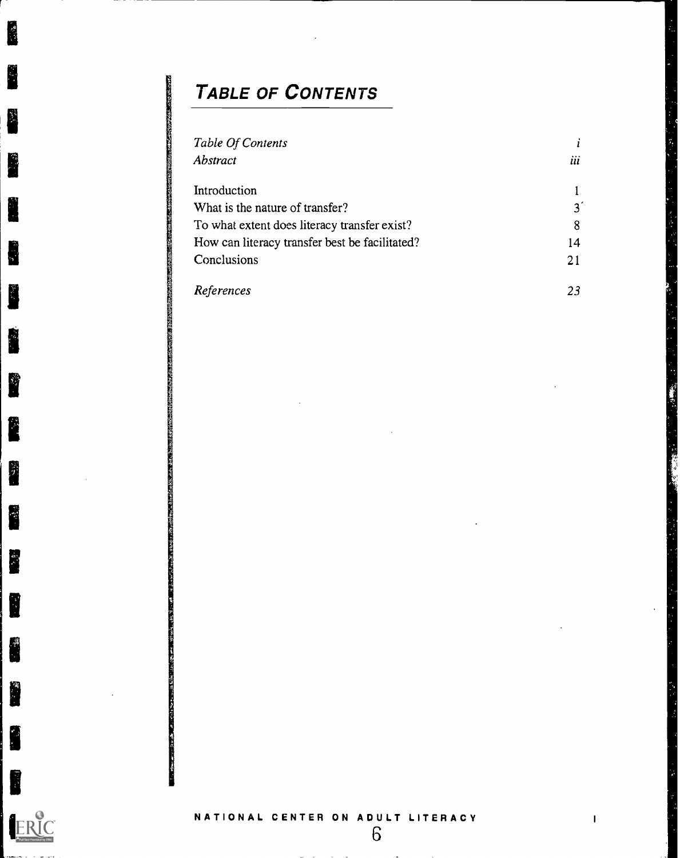# TABLE OF CONTENTS

| Table Of Contents                              |                |  |
|------------------------------------------------|----------------|--|
| Abstract                                       | <br><i>u</i>   |  |
| Introduction                                   |                |  |
| What is the nature of transfer?                | 3 <sup>′</sup> |  |
| To what extent does literacy transfer exist?   | 8              |  |
| How can literacy transfer best be facilitated? | 14             |  |
| Conclusions                                    | 21             |  |
| References                                     | 23             |  |



E

i.

L

H

R

Ñ

**REA** 

I

H

**RE** 

I

i.

i j

I

I

and the company of the company

6

 $\sim$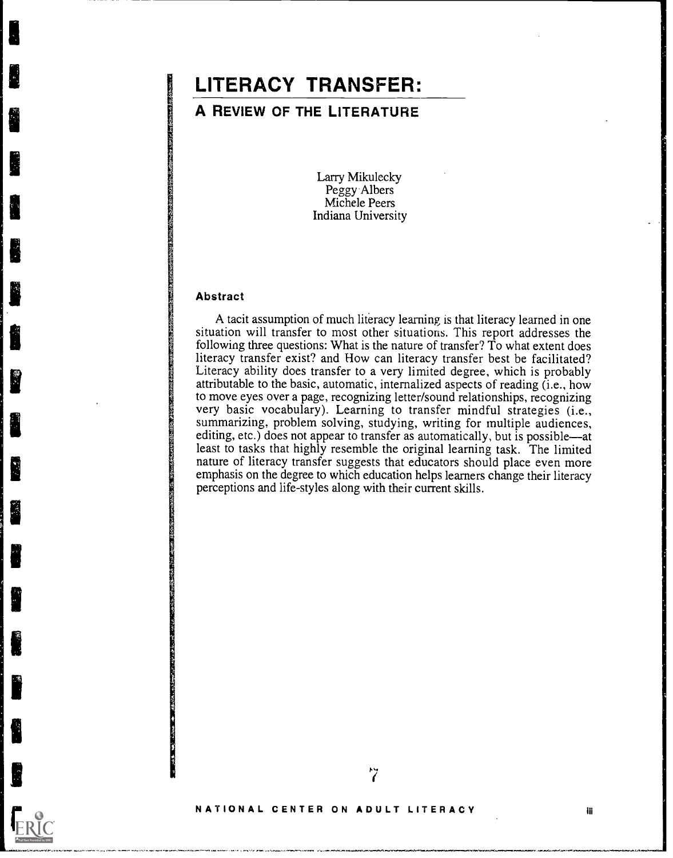# LITERACY TRANSFER:

# A REVIEW OF THE LITERATURE

Larry Mikulecky Peggy Albers Michele Peers Indiana University

### Abstract

Ľ

A tacit assumption of much literacy learning is that literacy learned in one situation will transfer to most other situations. This report addresses the following three questions: What is the nature of transfer? To what extent does literacy transfer exist? and How can literacy transfer best be facilitated? Literacy ability does transfer to a very limited degree, which is probably attributable to the basic, automatic, internalized aspects of reading (i.e., how to move eyes over a page, recognizing letter/sound relationships, recognizing very basic vocabulary). Learning to transfer mindful strategies (i.e., summarizing, problem solving, studying, writing for multiple audiences, editing, etc.) does not appear to transfer as automatically, but is possible—at least to tasks that highly resemble the original learning task. The limited nature of literacy transfer suggests that educators should place even more emphasis on the degree to which education helps learners change their literacy perceptions and life-styles along with their current skills.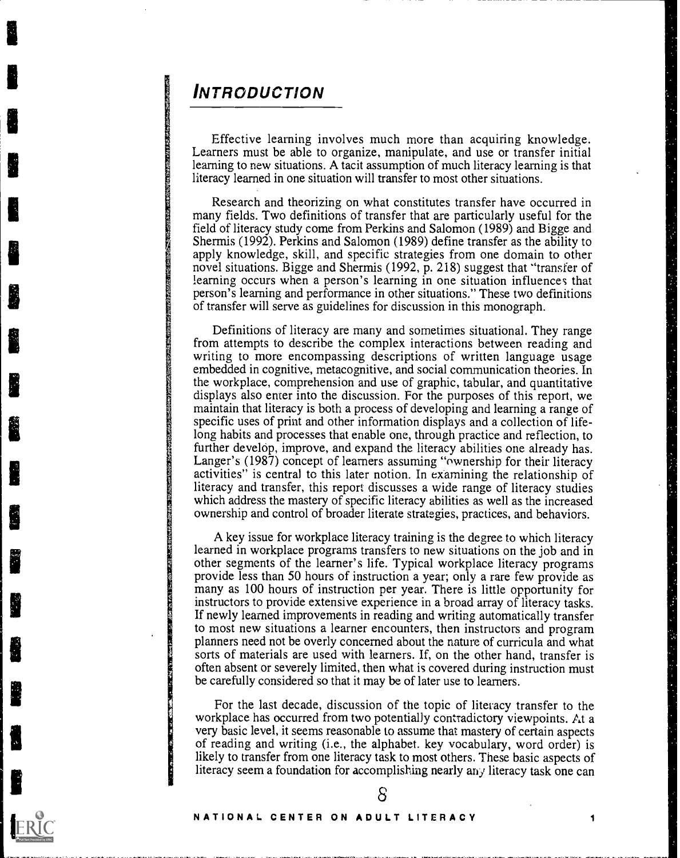# INTRODUCTION

Effective learning involves much more than acquiring knowledge. Learners must be able to organize, manipulate, and use or transfer initial learning to new situations. A tacit assumption of much literacy learning is that literacy learned in one situation will transfer to most other situations.

Research and theorizing on what constitutes transfer have occurred in many fields. Two definitions of transfer that are particularly useful for the field of literacy study come from Perkins and Salomon (1989) and Bigge and Shermis (1992). Perkins and Salomon (1989) define transfer as the ability to apply knowledge, skill, and specific strategies from one domain to other novel situations. Bigge and Shermis (1992, p. 218) suggest that "transfer of learning occurs when a person's learning in one situation influences that person's learning and performance in other situations." These two definitions of transfer will serve as guidelines for discussion in this monograph.

Definitions of literacy are many and sometimes situational. They range from attempts to describe the complex interactions between reading and writing to more encompassing descriptions of written language usage embedded in cognitive, metacognitive, and social communication theories. In the workplace, comprehension and use of graphic, tabular, and quantitative displays also enter into the discussion. For the purposes of this report, we maintain that literacy is both a process of developing and learning a range of specific uses of print and other information displays and a collection of lifelong habits and processes that enable one, through practice and reflection, to further develop, improve, and expand the literacy abilities one already has. Langer's (1987) concept of learners assuming "ownership for their literacy activities" is central to this later notion. In examining the relationship of literacy and transfer, this report discusses a wide range of literacy studies which address the mastery of specific literacy abilities as well as the increased ownership and control of broader literate strategies, practices, and behaviors.

A key issue for workplace literacy training is the degree to which literacy learned in workplace programs transfers to new situations on the job and in other segments of the learner's life. Typical workplace literacy programs provide less than 50 hours of instruction a year; only a rare few provide as many as 100 hours of instruction per year. There is little opportunity for instructors to provide extensive experience in a broad array of literacy tasks. If newly learned improvements in reading and writing automatically transfer to most new situations a learner encounters, then instructors and program planners need not be overly concerned about the nature of curricula and what sorts of materials are used with learners. If, on the other hand, transfer is often absent or severely limited, then what is covered during instruction must be carefully considered so that it may be of later use to learners.

For the last decade, discussion of the topic of literacy transfer to the workplace has occurred from two potentially contradictory viewpoints. At a very basic level, it seems reasonable to assume that mastery of certain aspects of reading and writing (i.e., the alphabet. key vocabulary, word order) is likely to transfer from one literacy task to most others. These basic aspects of literacy seem a foundation for accomplishing nearly any literacy task one can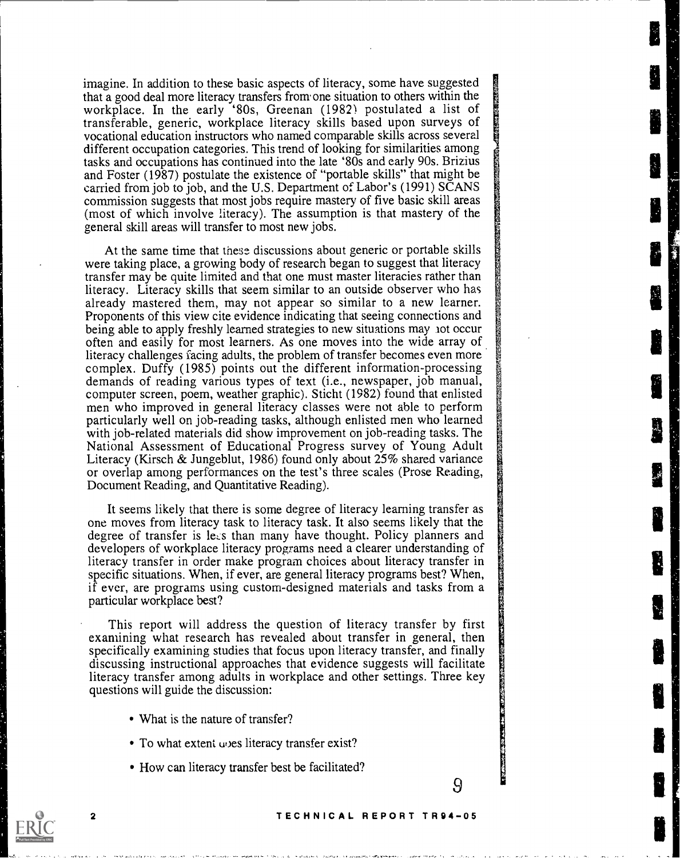imagine. In addition to these basic aspects of literacy, some have suggested that a good deal more literacy transfers from one situation to others within the workplace. In the early '80s, Greenan (1982) postulated a list of transferable, generic, workplace literacy skills based upon surveys of vocational education instructors who named comparable skills across several different occupation categories. This trend of looking for similarities among tasks and occupations has continued into the late '80s and early 90s. Brizius and Foster (1987) postulate the existence of "portable skills" that might be carried from job to job, and the U.S. Department of Labor's (1991) SCANS commission suggests that most jobs require mastery of five basic skill areas (most of which involve literacy). The assumption is that mastery of the general skill areas will transfer to most new jobs.

At the same time that these discussions about generic or portable skills were taking place, a growing body of research began to suggest that literacy transfer may be quite limited and that one must master literacies rather than literacy. Literacy skills that seem similar to an outside observer who has already mastered them, may not appear so similar to a new learner. Proponents of this view cite evidence indicating that seeing connections and being able to apply freshly learned strategies to new situations may lot occur often and easily for most learners. As one moves into the wide array of literacy challenges facing adults, the problem of transfer becomes even more complex. Duffy (1985) points out the different information-processing demands of reading various types of text (i.e., newspaper, job manual, computer screen, poem, weather graphic). Sticht (1982) found that enlisted men who improved in general literacy classes were not able to perform particularly well on job-reading tasks, although enlisted men who learned with job-related materials did show improvement on job-reading tasks. The National Assessment of Educational Progress survey of Young Adult Literacy (Kirsch & Jungeblut, 1986) found only about 25% shared variance or overlap among performances on the test's three scales (Prose Reading, Document Reading, and Quantitative Reading).

It seems likely that there is some degree of literacy learning transfer as one moves from literacy task to literacy task. It also seems likely that the degree of transfer is less than many have thought. Policy planners and developers of workplace literacy programs need a clearer understanding of literacy transfer in order make program choices about literacy transfer in specific situations. When, if ever, are general literacy programs best? When, if ever, are programs using custom-designed materials and tasks from a particular workplace best?

This report will address the question of literacy transfer by first examining what research has revealed about transfer in general, then specifically examining studies that focus upon literacy transfer, and finally discussing instructional approaches that evidence suggests will facilitate literacy transfer among adults in workplace and other settings. Three key questions will guide the discussion:

- What is the nature of transfer?
- To what extent upes literacy transfer exist?
- How can literacy transfer best be facilitated?



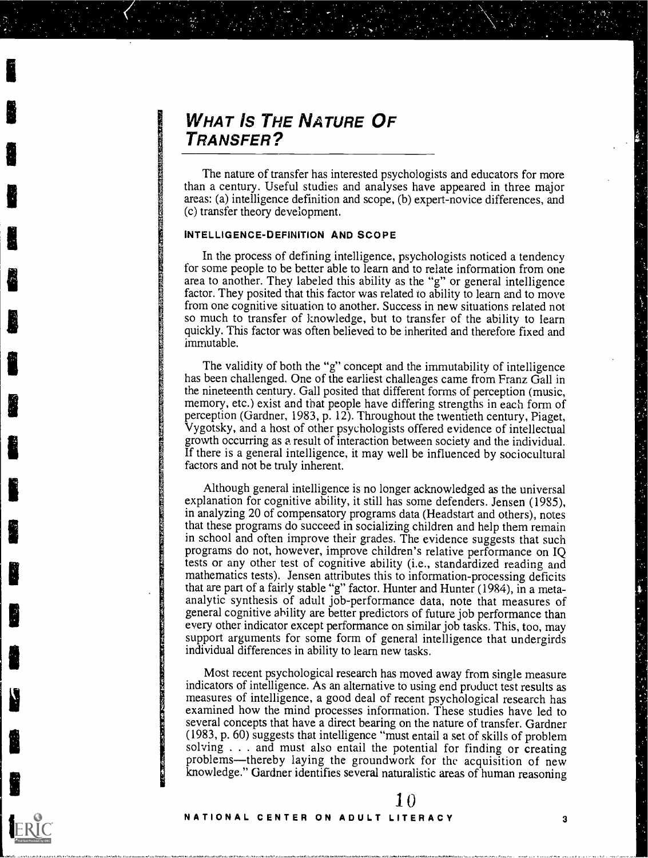# WHAT IS THE NATURE OF TRANSFER?

The nature of transfer has interested psychologists and educators for more than a century. Useful studies and analyses have appeared in three major areas: (a) intelligence definition and scope, (b) expert-novice differences, and (c) transfer theory development.

## INTELLIGENCE-DEFINITION AND SCOPE

In the process of defining intelligence, psychologists noticed a tendency for some people to be better able to learn and to relate information from one area to another. They labeled this ability as the "g" or general intelligence factor. They posited that this factor was related to ability to learn and to move from one cognitive situation to another. Success in new situations related not so much to transfer of knowledge, but to transfer of the ability to learn quickly. This factor was often believed to be inherited and therefore fixed and immutable.

The validity of both the "g" concept and the immutability of intelligence has been challenged. One of the earliest challenges came from Franz Gall in the nineteenth century. Gall posited that different forms of perception (music, memory, etc.) exist and that people have differing strengths in each form of perception (Gardner, 1983, p. 12). Throughout the twentieth century, Piaget, Vygotsky, and a host of other psychologists offered evidence of intellectual growth occurring as a result of interaction between society and the individual. If there is a general intelligence, it may well be influenced by sociocultural factors and not be truly inherent.

Although general intelligence is no longer acknowledged as the universal explanation for cognitive ability, it still has some defenders. Jensen (1985), in analyzing 20 of compensatory programs data (Headstart and others), notes that these programs do succeed in socializing children and help them remain in school and often improve their grades. The evidence suggests that such programs do not, however, improve children's relative performance on IQ tests or any other test of cognitive ability (i.e., standardized reading and mathematics tests). Jensen attributes this to information-processing deficits that are part of a fairly stable "g" factor. Hunter and Hunter (1984), in a metaanalytic synthesis of adult job-performance data, note that measures of general cognitive ability are better predictors of future job performance than every other indicator except performance on similar job tasks. This, too, may support arguments for some form of general intelligence that undergirds individual differences in ability to learn new tasks.

Most recent psychological research has moved away from single measure indicators of intelligence. As an alternative to using end product test results as measures of intelligence, a good deal of recent psychological research has examined how the mind processes information. These studies have led to several concepts that have a direct bearing on the nature of transfer. Gardner (1983, p. 60) suggests that intelligence "must entail a set of skills of problem solving  $\dots$  and must also entail the potential for finding or creating problems—thereby laying the groundwork for the acquisition of new knowledge." Gardner identifies several naturalistic areas of human reasoning

10

#### NATIONAL CENTER ON ADULT LITERACY 3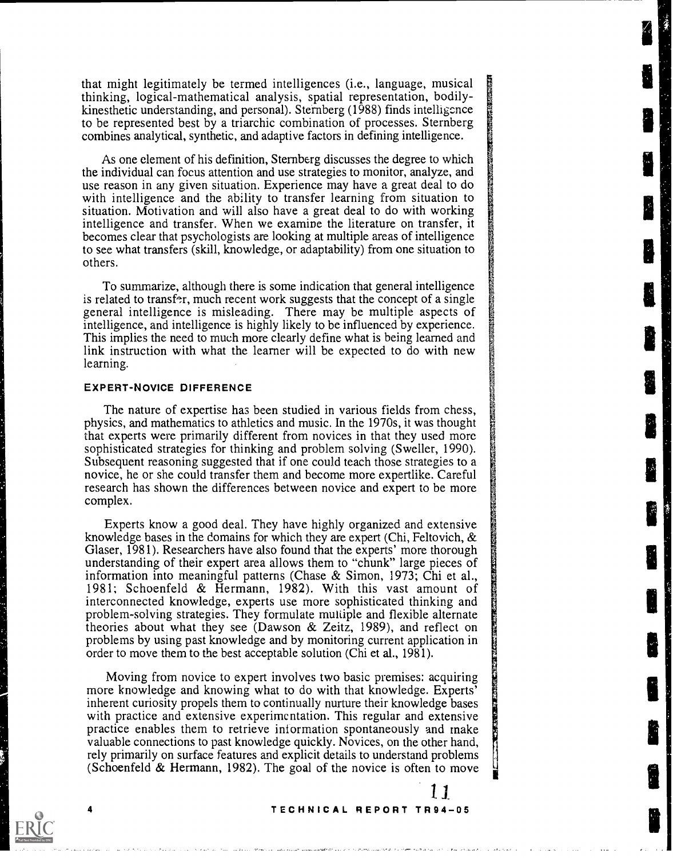that might legitimately be termed intelligences (i.e., language, musical thinking, logical-mathematical analysis, spatial representation, bodilykinesthetic understanding, and personal). Sternberg (1988) finds intelligence to be represented best by a triarchic combination of processes. Sternberg combines analytical, synthetic, and adaptive factors in defining intelligence.

As one element of his definition, Sternberg discusses the degree to which the individual can focus attention and use strategies to monitor, analyze, and use reason in any given situation. Experience may have a great deal to do with intelligence and the ability to transfer learning from situation to situation. Motivation and will also have a great deal to do with working intelligence and transfer. When we examine the literature on transfer, it becomes clear that psychologists are looking at multiple areas of intelligence to see what transfers (skill, knowledge, or adaptability) from one situation to others.

To summarize, although there is some indication that general intelligence is related to transfer, much recent work suggests that the concept of a single general intelligence is misleading. There may be multiple aspects of intelligence, and intelligence is highly likely to be influenced by experience. This implies the need to much more clearly define what is being learned and link instruction with what the learner will be expected to do with new learning.

#### EXPERT-NOVICE DIFFERENCE

The nature of expertise has been studied in various fields from chess, physics, and mathematics to athletics and music. In the 1970s, it was thought that experts were primarily different from novices in that they used more sophisticated strategies for thinking and problem solving (Sweller, 1990). Subsequent reasoning suggested that if one could teach those strategies to a novice, he or she could transfer them and become more expertlike. Careful research has shown the differences between novice and expert to be more complex.

Experts know a good deal. They have highly organized and extensive knowledge bases in the domains for which they are expert (Chi, Feltovich, & Glaser, 1981). Researchers have also found that the experts' more thorough understanding of their expert area allows them to "chunk" large pieces of information into meaningful patterns (Chase & Simon, 1973; Chi et al., 1981; Schoenfeld & Hermann, 1982). With this vast amount of interconnected knowledge, experts use more sophisticated thinking and problem-solving strategies. They formulate multiple and flexible alternate theories about what they see (Dawson & Zeitz, 1989), and reflect on problems by using past knowledge and by monitoring current application in order to move them to the best acceptable solution (Chi et al., 1981).

Moving from novice to expert involves two basic premises: acquiring more knowledge and knowing what to do with that knowledge. Experts' inherent curiosity propels them to continually nurture their knowledge bases with practice and extensive experimentation. This regular and extensive practice enables them to retrieve information spontaneously and make valuable connections to past knowledge quickly. Novices, on the other hand, rely primarily on surface features and explicit details to understand problems (Schoenfeld & Hermann, 1982). The goal of the novice is often to move

#### <sup>4</sup> TECHNICAL REPORT TR94-05

I1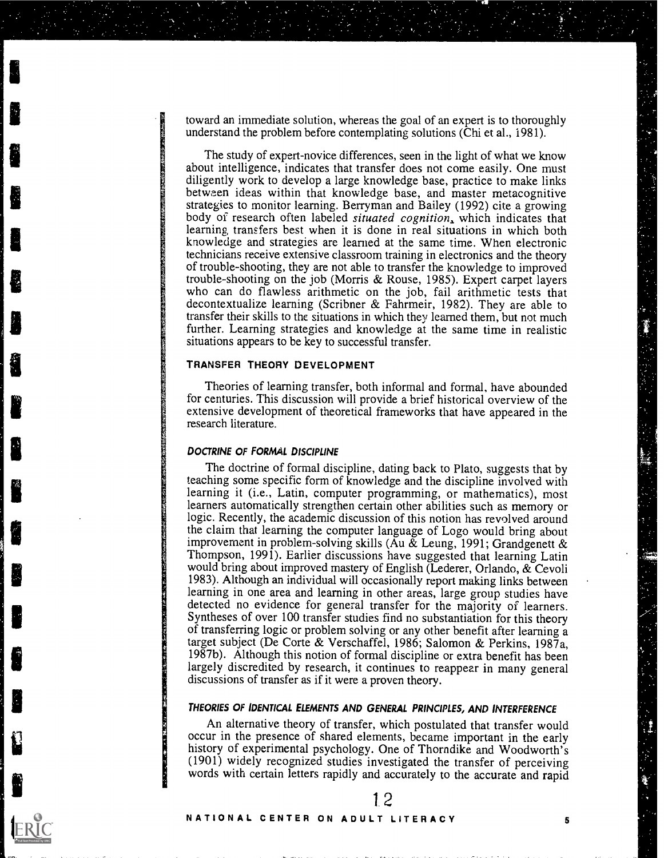toward an immediate solution, whereas the goal of an expert is to thoroughly understand the problem before contemplating solutions (Chi et al., 1981).

The study of expert-novice differences, seen in the light of what we know about intelligence, indicates that transfer does not come easily. One must diligently work to develop a large knowledge base, practice to make links between ideas within that knowledge base, and master metacognitive strategies to monitor learning. Berryman and Bailey (1992) cite a growing body of research often labeled *situated cognition*, which indicates that learning transfers best when it is done in real situations in which both knowledge and strategies are learned at the same time. When electronic technicians receive extensive classroom training in electronics and the theory of trouble-shooting, they are not able to transfer the knowledge to improved trouble-shooting on the job (Morris & Rouse, 1985). Expert carpet layers who can do flawless arithmetic on the job, fail arithmetic tests that decontextualize learning (Scribner & Fahrmeir, 1982). They are able to transfer their skills to the situations in which they learned them, but not much further. Learning strategies and knowledge at the same time in realistic situations appears to be key to successful transfer.

## TRANSFER THEORY DEVELOPMENT

Theories of learning transfer, both informal and formal, have abounded for centuries. This discussion will provide a brief historical overview of the extensive development of theoretical frameworks that have appeared in the research literature.

#### DOCTRINE OF FORMAL DISCIPLINE

The doctrine of formal discipline, dating back to Plato, suggests that by teaching some specific form of knowledge and the discipline involved with learning it (i.e., Latin, computer programming, or mathematics), most learners automatically strengthen certain other abilities such as memory or logic. Recently, the academic discussion of this notion has revolved around the claim that learning the computer language of Logo would bring about improvement in problem-solving skills (Au  $\&$  Leung, 1991; Grandgenett  $\&$ Thompson, 1991). Earlier discussions have suggested that learning Latin would bring about improved mastery of English (Lederer, Orlando, & Cevoli 1983). Although an individual will occasionally report making links between learning in one area and learning in other areas, large group studies have detected no evidence for general transfer for the majority of learners. Syntheses of over 100 transfer studies find no substantiation for this theory of transferring logic or problem solving or any other benefit after learning a target subject (De Corte & Verschaffel, 1986; Salomon & Perkins, 1987a, 1987b). Although this notion of formal discipline or extra benefit has been largely discredited by research, it continues to reappear in many general discussions of transfer as if it were a proven theory.

# THEORIES OF IDENTICAL ELEMENTS AND GENERAL PRINCIPLES, AND INTERFERENCE

An alternative theory of transfer, which postulated that transfer would occur in the presence of shared elements, became important in the early history of experimental psychology. One of Thorndike and Woodworth's (1901) widely recognized studies investigated the transfer of perceiving words with certain letters rapidly and accurately to the accurate and rapid

### NATIONAL CENTER ON ADULT LITERACY 5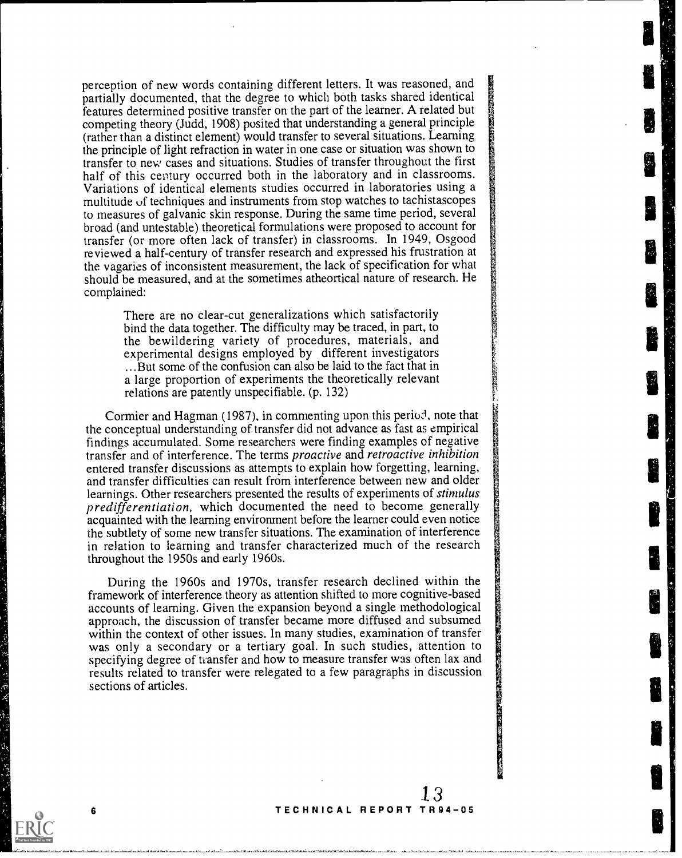perception of new words containing different letters. It was reasoned, and partially documented, that the degree to which both tasks shared identical features determined positive transfer on the part of the learner. A related but competing theory (Judd, 1908) posited that understanding a general principle (rather than a distinct element) would transfer to several situations. Learning the principle of light refraction in water in one case or situation was shown to transfer to new cases and situations. Studies of transfer throughout the first half of this century occurred both in the laboratory and in classrooms. Variations of identical elements studies occurred in laboratories using a multitude of techniques and instruments from stop watches to tachistascopes to measures of galvanic skin response. During the same time period, several broad (and untestable) theoretical formulations were proposed to account for transfer (or more often lack of transfer) in classrooms. In 1949, Osgood reviewed a half-century of transfer research and expressed his frustration at the vagaries of inconsistent measurement, the lack of specification for what should be measured, and at the sometimes atheortical nature of research. He complained:

> There are no clear-cut generalizations which satisfactorily bind the data together. The difficulty may be traced, in part, to the bewildering variety of procedures, materials, and experimental designs employed by different investigators ...But some of the confusion can also be laid to the fact that in a large proportion of experiments the theoretically relevant relations are patently unspecifiable. (p. 132)

Cormier and Hagman (1987), in commenting upon this period, note that the conceptual understanding of transfer did not advance as fast as empirical findings accumulated. Some researchers were finding examples of negative transfer and of interference. The terms proactive and retroactive inhibition entered transfer discussions as attempts to explain how forgetting, learning, and transfer difficulties can result from interference between new and older learnings. Other researchers presented the results of experiments of stimulus predifferentiation, which documented the need to become generally acquainted with the learning environment before the learner could even notice the subtlety of some new transfer situations. The examination of interference in relation to learning and transfer characterized much of the research throughout the 1950s and early 1960s.

During the 1960s and 1970s, transfer research declined within the framework of interference theory as attention shifted to more cognitive-based accounts of learning. Given the expansion beyond a single methodological approach, the discussion of transfer became more diffused and subsumed within the context of other issues. In many studies, examination of transfer was only a secondary or a tertiary goal. In such studies, attention to specifying degree of transfer and how to measure transfer was often lax and results related to transfer were relegated to a few paragraphs in discussion sections of articles.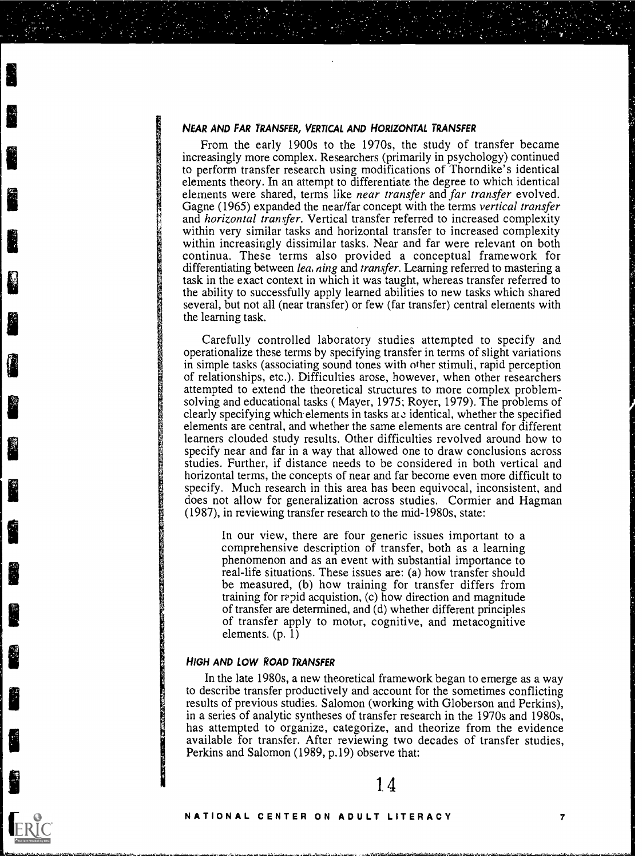#### NEAR AND FAR TRANSFER, VERTICAL AND HORIZONTAL TRANSFER

From the early 1900s to the 1970s, the study of transfer became increasingly more complex. Researchers (primarily in psychology) continued to perform transfer research using modifications of Thorndike's identical elements theory. In an attempt to differentiate the degree to which identical elements were shared, terms like near transfer and far transfer evolved. Gagne (1965) expanded the near/far concept with the terms vertical transfer and horizontal transfer. Vertical transfer referred to increased complexity within very similar tasks and horizontal transfer to increased complexity within increasingly dissimilar tasks. Near and far were relevant on both continua. These terms also provided a conceptual framework for differentiating between *lea. ning* and *transfer*. Learning referred to mastering a task in the exact context in which it was taught, whereas transfer referred to the ability to successfully apply learned abilities to new tasks which shared several, but not all (near transfer) or few (far transfer) central elements with the learning task.

Carefully controlled laboratory studies attempted to specify and operationalize these terms by specifying transfer in terms of slight variations in simple tasks (associating sound tones with other stimuli, rapid perception of relationships, etc.). Difficulties arose, however, when other researchers attempted to extend the theoretical structures to more complex problemsolving and educational tasks ( Mayer, 1975; Royer, 1979). The problems of clearly specifying which. elements in tasks ate identical, whether the specified elements are central, and whether the same elements are central for different learners clouded study results. Other difficulties revolved around how to specify near and far in a way that allowed one to draw conclusions across studies. Further, if distance needs to be considered in both vertical and horizontal terms, the concepts of near and far become even more difficult to specify. Much research in this area has been equivocal, inconsistent, and does not allow for generalization across studies. Cormier and Hagman (1987), in reviewing transfer research to the mid-1980s, state:

In our view, there are four generic issues important to a comprehensive description of transfer, both as a learning phenomenon and as an event with substantial importance to real-life situations. These issues are: (a) how transfer should be measured, (b) how training for transfer differs from training for rapid acquistion,  $(c)$  how direction and magnitude of transfer are determined, and (d) whether different principles of transfer apply to motor, cognitive, and metacognitive elements.  $(p, 1)$ 

## HIGH AND LOW ROAD TRANSFER

In the late 1980s, a new theoretical framework began to emerge as a way to describe transfer productively and account for the sometimes conflicting results of previous studies. Salomon (working with Globerson and Perkins), in a series of analytic syntheses of transfer research in the 1970s and 1980s, has attempted to organize, categorize, and theorize from the evidence available for transfer. After reviewing two decades of transfer studies, Perkins and Salomon (1989, p.19) observe that: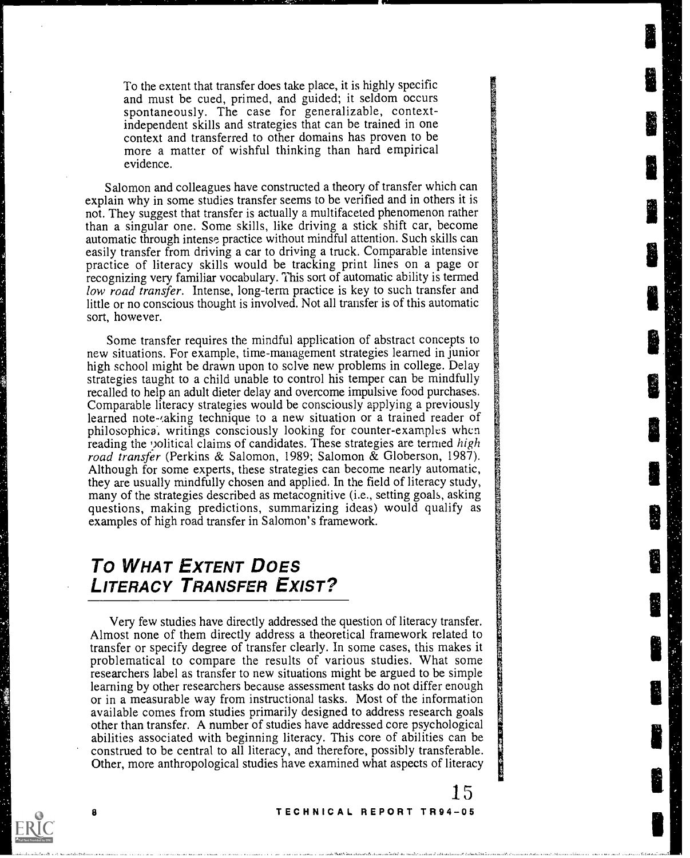To the extent that transfer does take place, it is highly specific and must be cued, primed, and guided; it seldom occurs spontaneously. The case for generalizable, contextindependent skills and strategies that can be trained in one context and transferred to other domains has proven to be more a matter of wishful thinking than hard empirical evidence.

Salomon and colleagues have constructed a theory of transfer which can explain why in some studies transfer seems to be verified and in others it is not. They suggest that transfer is actually a multifaceted phenomenon rather than a singular one. Some skills, like driving a stick shift car, become automatic through intense practice without mindful attention. Such skills can easily transfer from driving a car to driving a truck. Comparable intensive practice of literacy skills would be tracking print lines on a page or recognizing very familiar vocabulary. This sort of automatic ability is termed low road transfer. Intense, long-term practice is key to such transfer and little or no conscious thought is involved. Not all transfer is of this automatic sort, however.

Some transfer requires the mindful application of abstract concepts to new situations. For example, time-management strategies learned in junior high school might be drawn upon to solve new problems in college. Delay strategies taught to a child unable to control his temper can be mindfully recalled to help an adult dieter delay and overcome impulsive food purchases. Comparable literacy strategies would be consciously applying a previously learned note-*aling* technique to a new situation or a trained reader of philosophica, writings consciously looking for counter-examples when reading the 'volitical claims of candidates. These strategies are termed high road transfer (Perkins & Salomon, 1989; Salomon & Globerson, 1987). Although for some experts, these strategies can become nearly automatic, they are usually mindfully chosen and applied. In the field of literacy study, many of the strategies described as metacognitive (i.e., setting goals, asking questions, making predictions, summarizing ideas) would qualify as examples of high road transfer in Salomon's framework.

# To WHAT EXTENT DOES LITERACY TRANSFER EXIST?

Very few studies have directly addressed the question of literacy transfer. Almost none of them directly address a theoretical framework related to transfer or specify degree of transfer clearly. In some cases, this makes it problematical to compare the results of various studies. What some researchers label as transfer to new situations might be argued to be simple learning by other researchers because assessment tasks do not differ enough or in a measurable way from instructional tasks. Most of the information available comes from studies primarily designed to address research goals other than transfer. A number of studies have addressed core psychological abilities associated with beginning literacy. This core of abilities can be construed to be central to all literacy, and therefore, possibly transferable. Other, more anthropological studies have examined what aspects of literacy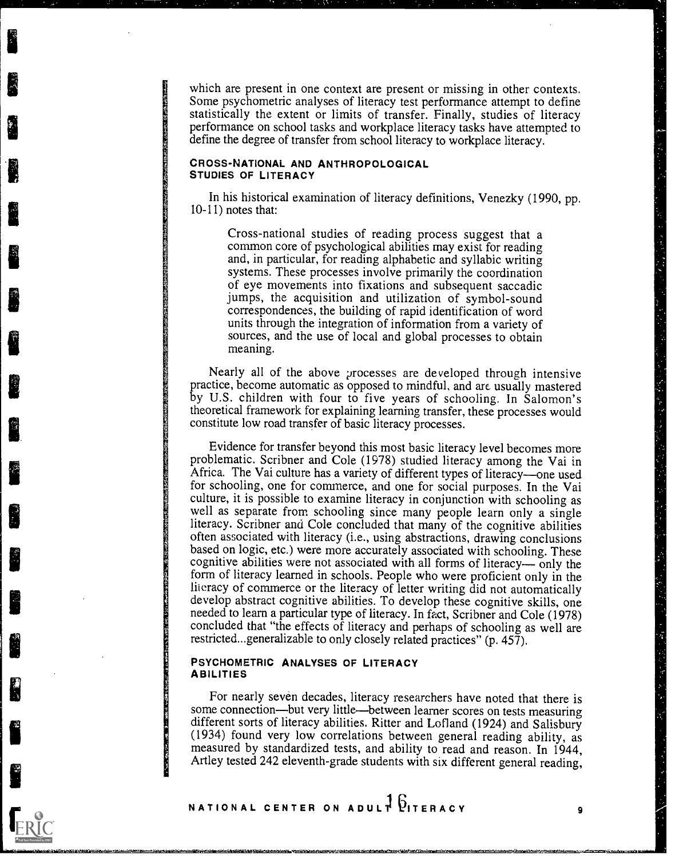which are present in one context are present or missing in other contexts. Some psychometric analyses of literacy test performance attempt to define statistically the extent or limits of transfer. Finally, studies of literacy performance on school tasks and workplace literacy tasks have attempted to define the degree of transfer from school literacy to workplace literacy.

#### CROSS-NATIONAL AND ANTHROPOLOGICAL STUDIES OF LITERACY

In his historical examination of literacy definitions, Venezky (1990, pp. 10-11) notes that:

Cross-national studies of reading process suggest that a common core of psychological abilities may exist for reading and, in particular, for reading alphabetic and syllabic writing systems. These processes involve primarily the coordination of eye movements into fixations and subsequent saccadic jumps, the acquisition and utilization of symbol-sound correspondences, the building of rapid identification of word units through the integration of information from a variety of sources, and the use of local and global processes to obtain meaning.

Nearly all of the above processes are developed through intensive practice, become automatic as opposed to mindful, and are usually mastered by U.S. children with four to five years of schooling. In Salomon's theoretical framework for explaining learning transfer, these processes would constitute low road transfer of basic literacy processes.

Evidence for transfer beyond this most basic literacy level becomes more problematic. Scribner and Cole (1978) studied literacy among the Vai in Africa. The Vai culture has a variety of different types of literacy—one used for schooling, one for commerce, and one for social purposes. In the Vai culture, it is possible to examine literacy in conjunction with schooling as well as separate from schooling since many people learn only a single literacy. Scribner and Cole concluded that many of the cognitive abilities often associated with literacy (i.e., using abstractions, drawing conclusions based on logic, etc.) were more accurately associated with schooling. These cognitive abilities were not associated with all forms of literacy— $\overline{$ only the form of literacy learned in schools. People who were proficient only in the liieracy of commerce or the literacy of letter writing did not automatically develop abstract cognitive abilities. To develop these cognitive skills, one needed to learn a particular type of literacy. In fact, Scribner and Cole (1978) concluded that "the effects of literacy and perhaps of schooling as well are restricted...generalizable to only closely related practices" (p. 457).

## PSYCHOMETRIC ANALYSES OF LITERACY ABILITIES

For nearly seven decades, literacy researchers have noted that there is some connection—but very little—between learner scores on tests measuring different sorts of literacy abilities. Ritter and Lofland (1924) and Salisbury (1934) found very low correlations between general reading ability, as measured by standardized tests, and ability to read and reason. In 1944, Artley tested 242 eleventh-grade students with six different general reading,

".-lutax..16i

ERIC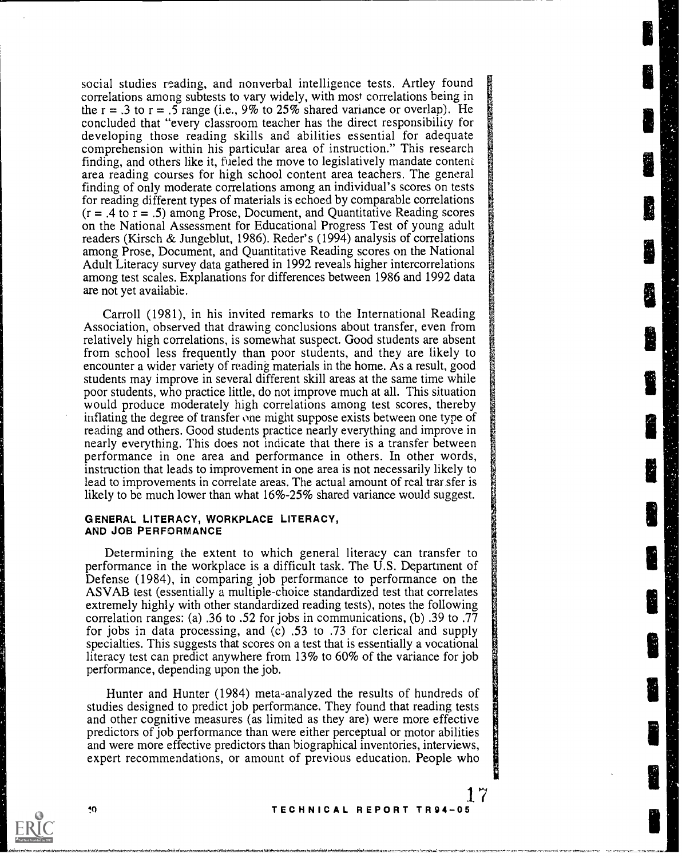social studies reading, and nonverbal intelligence tests. Artley found correlations among subtests to vary widely, with most correlations being in the  $r = .3$  to  $r = .5$  range (i.e., 9% to 25% shared variance or overlap). He concluded that "every classroom teacher has the direct responsibility for developing those reading skills and abilities essential for adequate comprehension within his particular area of instruction." This research finding, and others like it, fueled the move to legislatively mandate content area reading courses for high school content area teachers. The general finding of only moderate correlations among an individual's scores on tests for reading different types of materials is echoed by comparable correlations  $(r = .4 \text{ to } r = .5)$  among Prose, Document, and Quantitative Reading scores on the National Assessment for Educational Progress Test of young adult readers (Kirsch & Jungeblut, 1986). Reder's (1994) analysis of correlations among Prose, Document, and Quantitative Reading scores on the National Adult Literacy survey data gathered in 1992 reveals higher intercorrelations among test scales. Explanations for differences between 1986 and 1992 data are not yet available.

Carroll (1981), in his invited remarks to the International Reading Association, observed that drawing conclusions about transfer, even from relatively high correlations, is somewhat suspect. Good students are absent from school less frequently than poor students, and they are likely to encounter a wider variety of reading materials in the home. As a result, good students may improve in several different skill areas at the same time while poor students, who practice little, do not improve much at all. This situation would produce moderately high correlations among test scores, thereby inflating the degree of transfer one might suppose exists between one type of reading and others. Good students practice nearly everything and improve in nearly everything. This does not indicate that there is a transfer between performance in one area and performance in others. In other words, instruction that leads to improvement in one area is not necessarily likely to lead to improvements in correlate areas. The actual amount of real transfer is likely to be much lower than what 16%-25% shared variance would suggest.

#### GENERAL LITERACY, WORKPLACE LITERACY, AND JOB PERFORMANCE

Determining the extent to which general literacy can transfer to performance in the workplace is a difficult task. The U.S. Department of Defense (1984), in comparing job performance to performance on the ASVAB test (essentially a multiple-choice standardized test that correlates extremely highly with other standardized reading tests), notes the following correlation ranges: (a) .36 to .52 for jobs in communications, (b) .39 to .77 for jobs in data processing, and (c) .53 to .73 for clerical and supply specialties. This suggests that scores on a test that is essentially a vocational literacy test can predict anywhere from 13% to 60% of the variance for job performance, depending upon the job.

Hunter and Hunter (1984) meta-analyzed the results of hundreds of studies designed to predict job performance. They found that reading tests and other cognitive measures (as limited as they are) were more effective predictors of job performance than were either perceptual or motor abilities and were more effective predictors than biographical inventories, interviews, expert recommendations, or amount of previous education. People who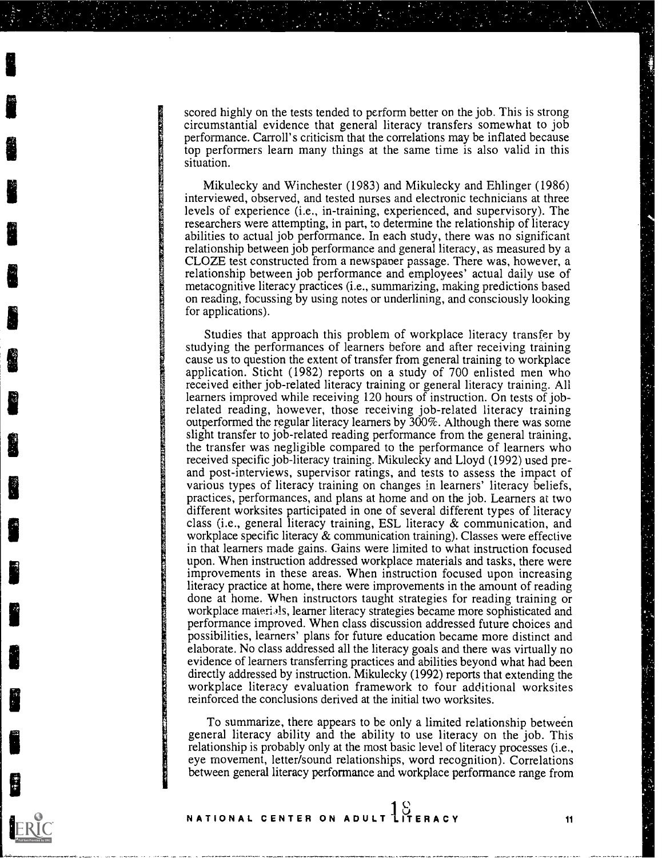scored highly on the tests tended to perform better on the job. This is strong circumstantial evidence that general literacy transfers somewhat to job performance. Carroll's criticism that the correlations may be inflated because top performers learn many things at the same time is also valid in this situation.

Mikulecky and Winchester (1983) and Mikulecky and Ehlinger (1986) interviewed, observed, and tested nurses and electronic technicians at three levels of experience (i.e., in-training, experienced, and supervisory). The researchers were attempting, in part, to determine the relationship of literacy abilities to actual job performance. In each study, there was no significant relationship between job performance and general literacy, as measured by a CLOZE test constructed from a newspaper passage. There was, however, a relationship between job performance and employees' actual daily use of metacognitive literacy practices (i.e., summarizing, making predictions based on reading, focussing by using notes or underlining, and consciously looking for applications).

Studies that approach this problem of workplace literacy transfer by studying the performances of learners before and after receiving training cause us to question the extent of transfer from general training to workplace application. Sticht (1982) reports on a study of 700 enlisted men who received either job-related literacy training or general literacy training. All learners improved while receiving 120 hours of instruction. On tests of jobrelated reading, however, those receiving job-related literacy training outperformed the regular literacy learners by 300%. Although there was some slight transfer to job-related reading performance from the general training, the transfer was negligible compared to the performance of learners who received specific job-literacy training. Mikulecky and Lloyd (1992) used preand post-interviews, supervisor ratings, and tests to assess the impact of various types of literacy training on changes in learners' literacy beliefs, practices, performances, and plans at home and on the job. Learners at two different worksites participated in one of several different types of literacy class (i.e., general literacy training, ESL literacy & communication, and workplace specific literacy & communication training). Classes were effective in that learners made gains. Gains were limited to what instruction focused upon. When instruction addressed workplace materials and tasks, there were improvements in these areas. When instruction focused upon increasing literacy practice at home, there were improvements in the amount of reading done at home. When instructors taught strategies for reading training or workplace materials, learner literacy strategies became more sophisticated and performance improved. When class discussion addressed future choices and possibilities, learners' plans for future education became more distinct and elaborate. No class addressed all the literacy goals and there was virtually no evidence of learners transferring practices and abilities beyond what had been directly addressed by instruction. Mikulecky (1992) reports that extending the workplace literacy evaluation framework to four additional worksites reinforced the conclusions derived at the initial two worksites.

To summarize, there appears to be only a limited relationship between general literacy ability and the ability to use literacy on the job. This relationship is probably only at the most basic level of literacy processes (i.e., eye movement, letter/sound relationships, word recognition). Correlations between general literacy performance and workplace performance range from

 $\Omega$  and the set of  $\Omega$ NATIONAL CENTER ON ADULT LITERACY 11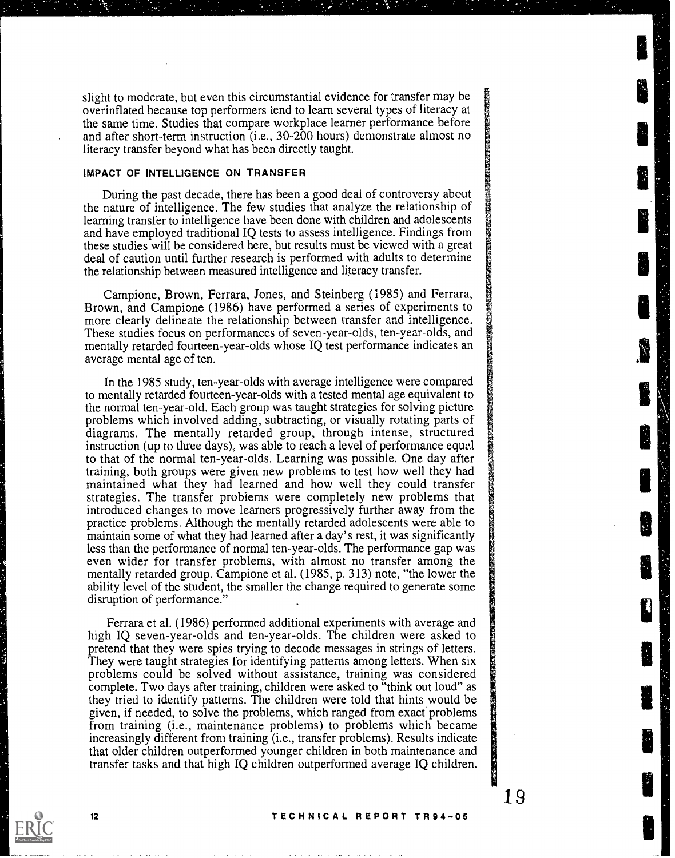slight to moderate, but even this circumstantial evidence for transfer may be overinflated because top performers tend to learn several types of literacy at the same time. Studies that compare workplace learner performance before and after short-term instruction (i.e., 30-200 hours) demonstrate almost no literacy transfer beyond what has been directly taught.

#### IMPACT OF INTELLIGENCE ON TRANSFER

During the past decade, there has been a good deal of controversy about the nature of intelligence. The few studies that analyze the relationship of learning transfer to intelligence have been done with children and adolescents and have employed traditional IQ tests to assess intelligence. Findings from these studies will be considered here, but results must be viewed with a great deal of caution until further research is performed with adults to determine the relationship between measured intelligence and literacy transfer.

Campione, Brown, Ferrara, Jones, and Steinberg (1985) and Ferrara, Brown, and Campione (1986) have performed a series of experiments to more clearly delineate the relationship between transfer and intelligence. These studies focus on performances of seven-year-olds, ten-year-olds, and mentally retarded fourteen-year-olds whose IQ test performance indicates an average mental age of ten.

In the 1985 study, ten-year-olds with average intelligence were compared to mentally retarded fourteen-year-olds with a tested mental age equivalent to the normal ten-year-old. Each group was taught strategies for solving picture problems which involved adding, subtracting, or visually rotating parts of diagrams. The mentally retarded group, through intense, structured instruction (up to three days), was able to reach a level of performance equvl to that of the normal ten-year-olds. Learning was possible. One day after training, both groups were given new problems to test how well they had maintained what they had learned and how well they could transfer strategies. The transfer problems were completely new problems that introduced changes to move learners progressively further away from the practice problems. Although the mentally retarded adolescents were able to maintain some of what they had learned after a day's rest, it was significantly less than the performance of normal ten-year-olds. The performance gap was even wider for transfer problems, with almost no transfer among the mentally retarded group. Campione et al. (1985, p. 313) note, "the lower the ability level of the student, the smaller the change required to generate some disruption of performance."

Ferrara et al. (1986) performed additional experiments with average and high IQ seven-year-olds and ten-year-olds. The children were asked to pretend that they were spies trying to decode messages in strings of letters. They were taught strategies for identifying patterns among letters. When six problems could be solved without assistance, training was considered complete. Two days after training, children were asked to "think out loud" as they tried to identify patterns. The children were told that hints would be given, if needed, to solve the problems, which ranged from exact problems from training (i.e., maintenance problems) to problems which became increasingly different from training (i.e., transfer problems). Results indicate that older children outperformed younger children in both maintenance and transfer tasks and that high IQ children outperformed average IQ children.

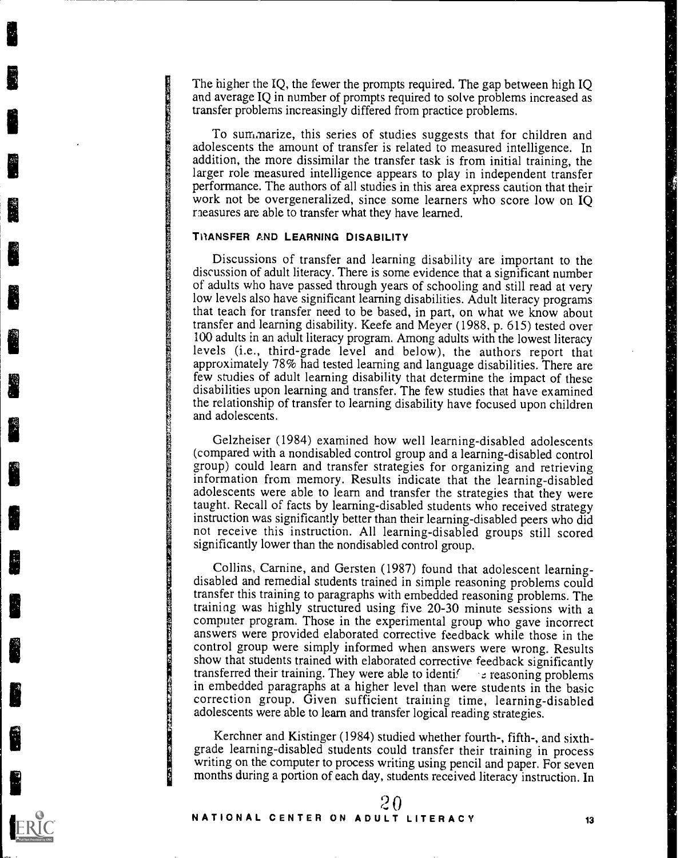The higher the IQ, the fewer the prompts required. The gap between high IQ and average IQ in number of prompts required to solve problems increased as transfer problems increasingly differed from practice problems.

To summarize, this series of studies suggests that for children and adolescents the amount of transfer is related to measured intelligence. In addition, the more dissimilar the transfer task is from initial training, the larger role measured intelligence appears to play in independent transfer performance. The authors of all studies in this area express caution that their work not be overgeneralized, since some learners who score low on IQ raeasures are able to transfer what they have learned.

### TRANSFER AND LEARNING DISABILITY

Discussions of transfer and learning disability are important to the discussion of adult literacy. There is some evidence that a significant number of adults who have passed through years of schooling and still read at very low levels also have significant learning disabilities. Adult literacy programs that teach for transfer need to be based, in part, on what we know about transfer and learning disability. Keefe and Meyer (1988, p. 615) tested over 100 adults in an adult literacy program. Among adults with the lowest literacy levels (i.e., third-grade level and below), the authors report that approximately 78% had tested learning and language disabilities. There are few studies of adult learning disability that determine the impact of these disabilities upon learning and transfer. The few studies that have examined the relationship of transfer to learning disability have focused upon children and adolescents.

Gelzheiser (1984) examined how well learning-disabled adolescents (compared with a nondisabled control group and a learning-disabled control group) could learn and transfer strategies for organizing and retrieving information from memory. Results indicate that the learning-disabled adolescents were able to learn and transfer the strategies that they were taught. Recall of facts by learning-disabled students who received strategy instruction was significantly better than their learning-disabled peers who did not receive this instruction. All learning-disabled groups still scored significantly lower than the nondisabled control group.

Collins, Carnine, and Gersten (1987) found that adolescent learningdisabled and remedial students trained in simple reasoning problems could transfer this training to paragraphs with embedded reasoning problems. The training was highly structured using five 20-30 minute sessions with a computer program. Those in the experimental group who gave incorrect answers were provided elaborated corrective feedback while those in the control group were simply informed when answers were wrong. Results show that students trained with elaborated corrective feedback significantly transferred their training. They were able to identification at a experiment in embedded paragraphs at a higher level than were students in the basic correction group. Given sufficient training time, learning-disabled adolescents were able to learn and transfer logical reading strategies.

Kerchner and Kistinger (1984) studied whether fourth-, fifth-, and sixth-<br>grade learning-disabled students could transfer their training in process writing on the computer to process writing using pencil and paper. For seven months during a portion of each day, students received literacy instruction. In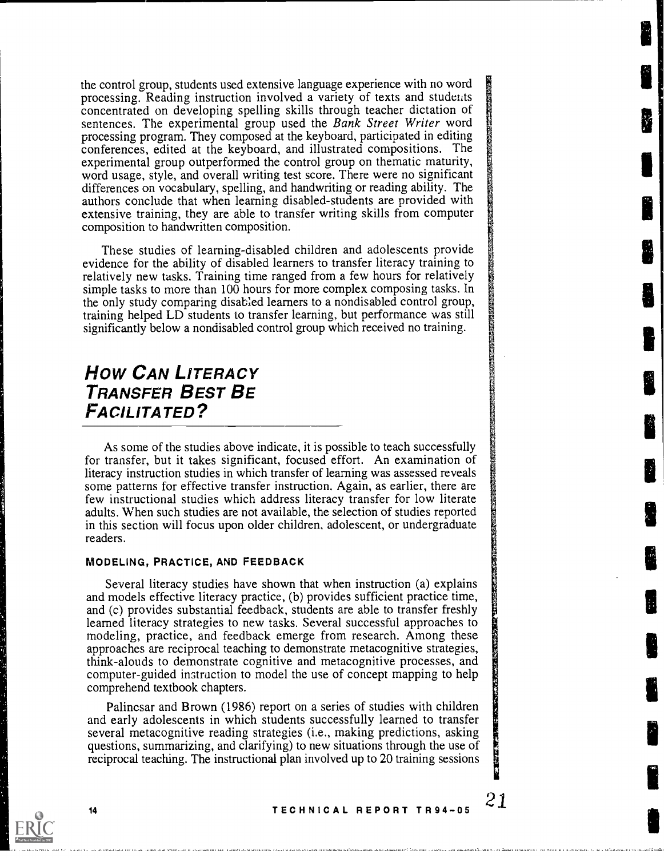the control group, students used extensive language experience with no word processing. Reading instruction involved a variety of texts and students concentrated on developing spelling skills through teacher dictation of sentences. The experimental group used the Bank Street Writer word processing program. They composed at the keyboard, participated in editing conferences, edited at the keyboard, and illustrated compositions. The experimental group outperformed the control group on thematic maturity, word usage, style, and overall writing test score. There were no significant differences on vocabulary, spelling, and handwriting or reading ability. The authors conclude that when learning disabled-students are provided with extensive training, they are able to transfer writing skills from computer composition to handwritten composition.

These studies of learning-disabled children and adolescents provide evidence for the ability of disabled learners to transfer literacy training to relatively new tasks. Training time ranged from a few hours for relatively simple tasks to more than 100 hours for more complex composing tasks. In the only study comparing disabled learners to a nondisabled control group, training helped LD students to transfer learning. but performance was still significantly below a nondisabled control group which received no training.

# How CAN LITERACY TRANSFER BEST BE FACILITATED?

As some of the studies above indicate, it is possible to teach successfully for transfer, but it takes significant, focused effort. An examination of literacy instruction studies in which transfer of learning was assessed reveals some patterns for effective transfer instruction. Again, as earlier, there are few instructional studies which address literacy transfer for low literate adults. When such studies are not available, the selection of studies reported in this section will focus upon older children, adolescent, or undergraduate readers.

## MODELING, PRACTICE, AND FEEDBACK

Several literacy studies have shown that when instruction (a) explains and models effective literacy practice, (b) provides sufficient practice time, and (c) provides substantial feedback, students are able to transfer freshly learned literacy strategies to new tasks. Several successful approaches to modeling, practice, and feedback emerge from research. Among these approaches are reciprocal teaching to demonstrate metacognitive strategies, think-alouds to demonstrate cognitive and metacognitive processes, and computer-guided instruction to model the use of concept mapping to help comprehend textbook chapters.

Palincsar and Brown (1986) report on a series of studies with children and early adolescents in which students successfully learned to transfer several metacognitive reading strategies (i.e., making predictions, asking questions, summarizing, and clarifying) to new situations through the use of reciprocal teaching. The instructional plan involved up to 20 training sessions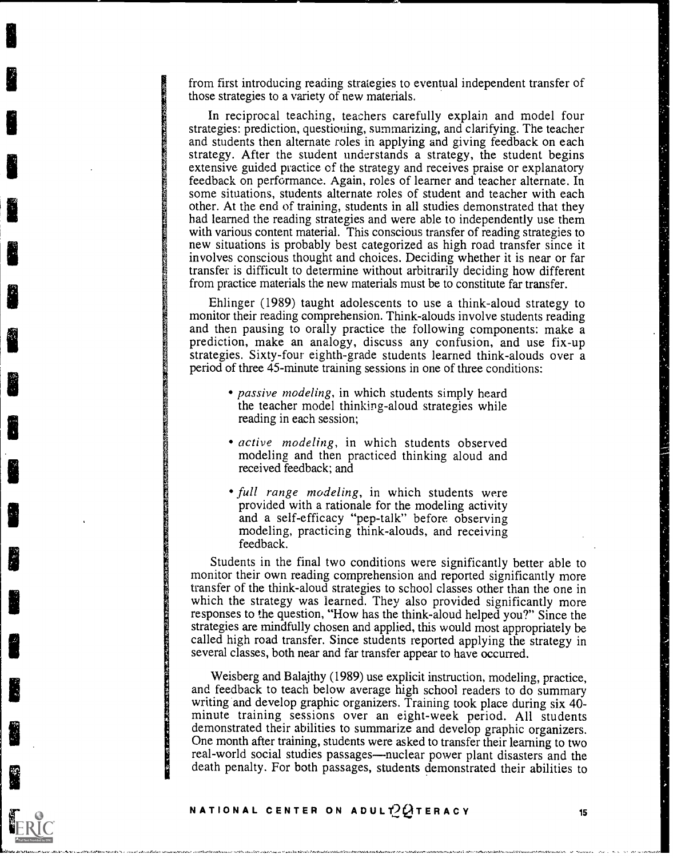from first introducing reading strategies to eventual independent transfer of those strategies to a variety of new materials.

In reciprocal teaching, teachers carefully explain and model four strategies: prediction, questioning, summarizing, and clarifying. The teacher and students then alternate roles in applying and giving feedback on each strategy. After the student understands a strategy, the student begins extensive guided practice of the strategy and receives praise or explanatory feedback on performance. Again, roles of learner and teacher alternate. In some situations, students alternate roles of student and teacher with each other. At the end of training, students in all studies demonstrated that they had learned the reading strategies and were able to independently use them with various content material. This conscious transfer of reading strategies to new situations is probably best categorized as high road transfer since it involves conscious thought and choices. Deciding whether it is near or far transfer is difficult to determine without arbitrarily deciding how different from practice materials the new materials must be to constitute far transfer.

Ehlinger (1989) taught adolescents to use a think-aloud strategy to monitor their reading comprehension. Think-alouds involve students reading and then pausing to orally practice the following components: make a prediction, make an analogy, discuss any confusion, and use fix-up strategies. Sixty-four eighth-grade students learned think-alouds over a period of three 45-minute training sessions in one of three conditions:

- passive modeling, in which students simply heard the teacher model thinking-aloud strategies while reading in each session;
- active modeling, in which students observed modeling and then practiced thinking aloud and received feedback; and
- full range modeling, in which students were provided with a rationale for the modeling activity and a self-efficacy "pep-talk" before observing modeling, practicing think-alouds, and receiving feedback.

Students in the final two conditions were significantly better able to monitor their own reading comprehension and reported significantly more transfer of the think-aloud strategies to school classes other than the one in which the strategy was learned. They also provided significantly more responses to the question, "How has the think-aloud helped you?" Since the strategies are mindfully chosen and applied, this would most appropriately be called high road transfer. Since students reported applying the strategy in several classes, both near and far transfer appear to have occurred.

Weisberg and Balajthy (1989) use explicit instruction, modeling, practice, and feedback to teach below average high school readers to do summary writing and develop graphic organizers. Training took place during six 40minute training sessions over an eight-week period. All students demonstrated their abilities to summarize and develop graphic organizers. One month after training, students were asked to transfer their learning to two real-world social studies passages—nuclear power plant disasters and the death penalty. For both passages, students demonstrated their abilities to

NATIONAL CENTER ON ADULT  $2Q$  Teracy 15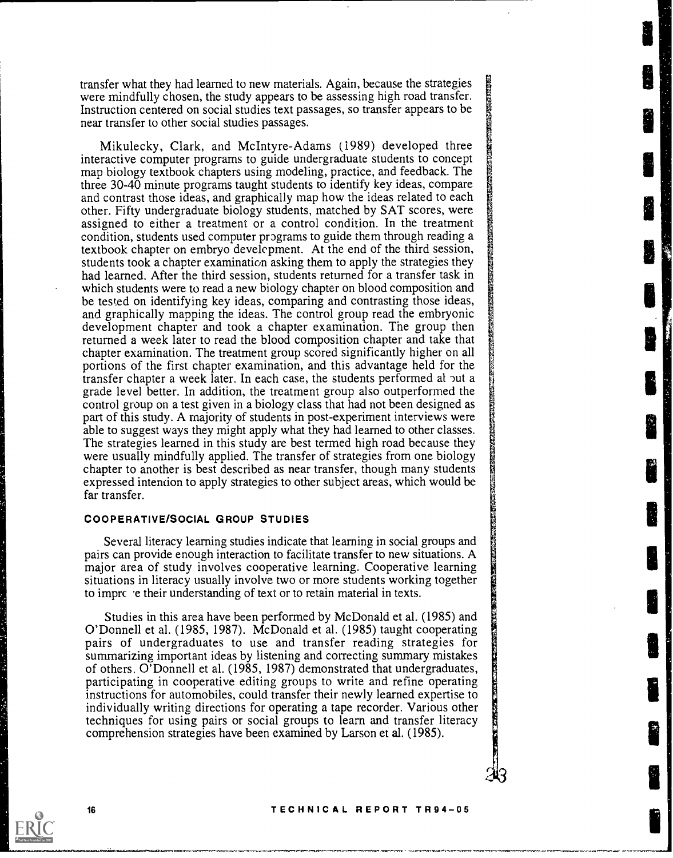transfer what they had learned to new materials. Again, because the strategies were mindfully chosen, the study appears to be assessing high road transfer. Instruction centered on social studies text passages, so transfer appears to be near transfer to other social studies passages.

Mikulecky, Clark, and McIntyre-Adams (1989) developed three interactive computer programs to guide undergraduate students to concept map biology textbook chapters using modeling, practice, and feedback. The three 30-40 minute programs taught students to identify key ideas, compare and contrast those ideas, and graphically map how the ideas related to each other. Fifty undergraduate biology students, matched by SAT scores, were assigned to either a treatment or a control condition. In the treatment condition, students used computer programs to guide them through reading a textbook chapter on embryo development. At the end of the third session, students took a chapter examination asking them to apply the strategies they had learned. After the third session, students returned for a transfer task in which students were to read a new biology chapter on blood composition and be tested on identifying key ideas, comparing and contrasting those ideas, and graphically mapping the ideas. The control group read the embryonic development chapter and took a chapter examination. The group then returned a week later to read the blood composition chapter and take that chapter examination. The treatment group scored significantly higher on all portions of the first chapter examination, and this advantage held for the transfer chapter a week later. In each case, the students performed at out a grade level better. In addition, the treatment group also outperformed the control group on a test given in a biology class that had not been designed as part of this study. A majority of students in post-experiment interviews were able to suggest ways they might apply what they had learned to other classes. The strategies learned in this study are best termed high road because they were usually mindfully applied. The transfer of strategies from one biology chapter to another is best described as near transfer, though many students expressed intention to apply strategies to other subject areas, which would be far transfer.

### COOPERATIVE/SOCIAL GROUP STUDIES

Several literacy learning studies indicate that learning in social groups and pairs can provide enough interaction to facilitate transfer to new situations. A major area of study involves cooperative learning. Cooperative learning situations in literacy usually involve two or more students working together to imprc 'e their understanding of text or to retain material in texts.

Studies in this area have been performed by McDonald et al. (1985) and O'Donnell et al. (1985, 1987). McDonald et al. (1985) taught cooperating pairs of undergraduates to use and transfer reading strategies for summarizing important ideas by listening and correcting summary mistakes of others. O'Donnell et al. (1985, 1987) demonstrated that undergraduates, participating in cooperative editing groups to write and refine operating instructions for automobiles, could transfer their newly learned expertise to individually writing directions for operating a tape recorder. Various other techniques for using pairs or social groups to learn and transfer literacy comprehension strategies have been examined by Larson et al. (1985).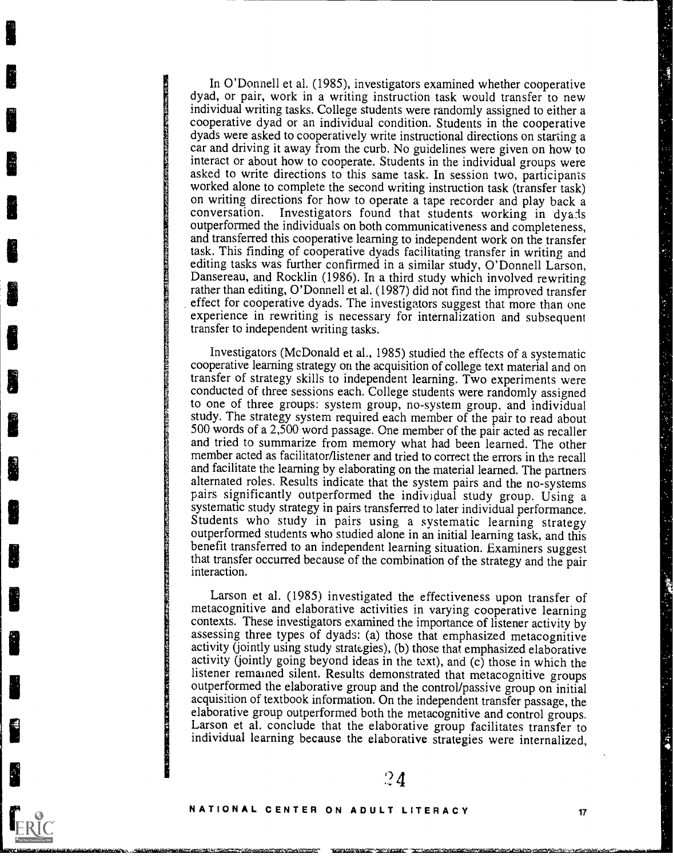In O'Donnell et al. (1985), investigators examined whether cooperative dyad, or pair, work in a writing instruction task would transfer to new individual writing tasks. College students were randomly assigned to either a cooperative dyad or an individual condition. Students in the cooperative dyads were asked to cooperatively write instructional directions on starting a car and driving it away from the curb. No guidelines were given on how to interact or about how to cooperate. Students in the individual groups were asked to write directions to this same task. In session two, participants worked alone to complete the second writing instruction task (transfer task) on writing directions for how to operate a tape recorder and play back a conversation. Investigators found that students working in dyads Investigators found that students working in dya:1s outperformed the individuals on both communicativeness and completeness, and transferred this cooperative learning to independent work on the transfer task. This finding of cooperative dyads facilitating transfer in writing and editing tasks was further confirmed in a similar study, O'Donnell Larson, Dansereau, and Rocklin (1986). In a third study which involved rewriting rather than editing, O'Donnell et al. (1987) did not find the improved transfer effect for cooperative dyads. The investigators suggest that more than one experience in rewriting is necessary for internalization and subsequent transfer to independent writing tasks.

Investigators (McDonald et al., 1985) studied the effects of a systematic cooperative learning strategy on the acquisition of college text material and on transfer of strategy skills to independent learning. Two experiments were conducted of three sessions each. College students were randomly assigned to one of three groups: system group, no-system group, and individual study. The strategy system required each member of the pair to read about 500 words of a 2,500 word passage. One member of the pair acted as recaller and tried to summarize from memory what had been learned. The other member acted as facilitator/listener and tried to correct the errors in the recall and facilitate the learning by elaborating on the material learned. The partners alternated roles. Results indicate that the system pairs and the no-systems pairs significantly outperformed the individual study group. Using a systematic study strategy in pairs transferred to later individual performance. Students who study in pairs using a systematic learning strategy outperformed students who studied alone in an initial learning task, and this benefit transferred to an independent learning situation. Examiners suggest that transfer occurred because of the combination of the strategy and the pair interaction.

Larson et al. (1985) investigated the effectiveness upon transfer of metacognitive and elaborative activities in varying cooperative learning contexts. These investigators examined the importance of listener activity by assessing three types of dyads: (a) those that emphasized metacognitive activity (jointly using study strategies), (b) those that emphasized elaborative activity (jointly going beyond ideas in the text), and  $(c)$  those in which the listener remained silent. Results demonstrated that metacognitive groups outperformed the elaborative group and the control/passive group on initial acquisition of textbook information. On the independent transfer passage, the elaborative group outperformed both the metacognitive and control gr individual learning because the elaborative strategies were internalized,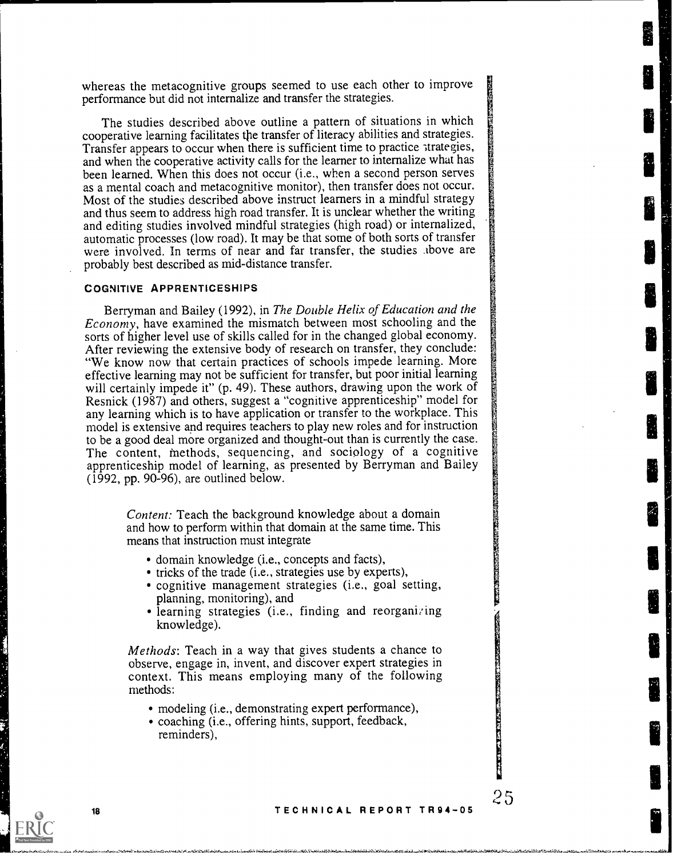whereas the metacognitive groups seemed to use each other to improve performance but did not internalize and transfer the strategies.

The studies described above outline a pattern of situations in which cooperative learning facilitates the transfer of literacy abilities and strategies. Transfer appears to occur when there is sufficient time to practice strategies, and when the cooperative activity calls for the learner to internalize what has been learned. When this does not occur (i.e., when a second person serves as a mental coach and metacognitive monitor), then transfer does not occur. Most of the studies described above instruct learners in a mindful strategy and thus seem to address high road transfer. It is unclear whether the writing and editing studies involved mindful strategies (high road) or internalized, automatic processes (low road). It may be that some of both sorts of transfer were involved. In terms of near and far transfer, the studies above are probably best described as mid-distance transfer.

### COGNITIVE APPRENTICESHIPS

Berryman and Bailey (1992), in The Double Helix of Education and the Economy, have examined the mismatch between most schooling and the sorts of higher level use of skills called for in the changed global economy. After reviewing the extensive body of research on transfer, they conclude: "We know now that certain practices of schools impede learning. More effective learning may not be sufficient for transfer, but poor initial learning will certainly impede it" (p. 49). These authors, drawing upon the work of Resnick (1987) and others, suggest a "cognitive apprenticeship" model for any learning which is to have application or transfer to the workplace. This model is extensive and requires teachers to play new roles and for instruction to be a good deal more organized and thought-out than is currently the case. The content, methods, sequencing, and sociology of a cognitive apprenticeship model of learning, as presented by Berryman and Bailey  $(1992, pp. 90-96)$ , are outlined below.

> Content: Teach the background knowledge about a domain and how to perform within that domain at the same time. This means that instruction must integrate

- domain knowledge (i.e., concepts and facts),
- tricks of the trade (i.e., strategies use by experts),
- cognitive management strategies (i.e., goal setting, planning, monitoring), and
- learning strategies (i.e., finding and reorganizing knowledge).

Methods: Teach in a way that gives students a chance to observe, engage in, invent, and discover expert strategies in context. This means employing many of the following methods:

- modeling (i.e., demonstrating expert performance),
- coaching (i.e., offering hints, support, feedback, reminders),



**PARTIES**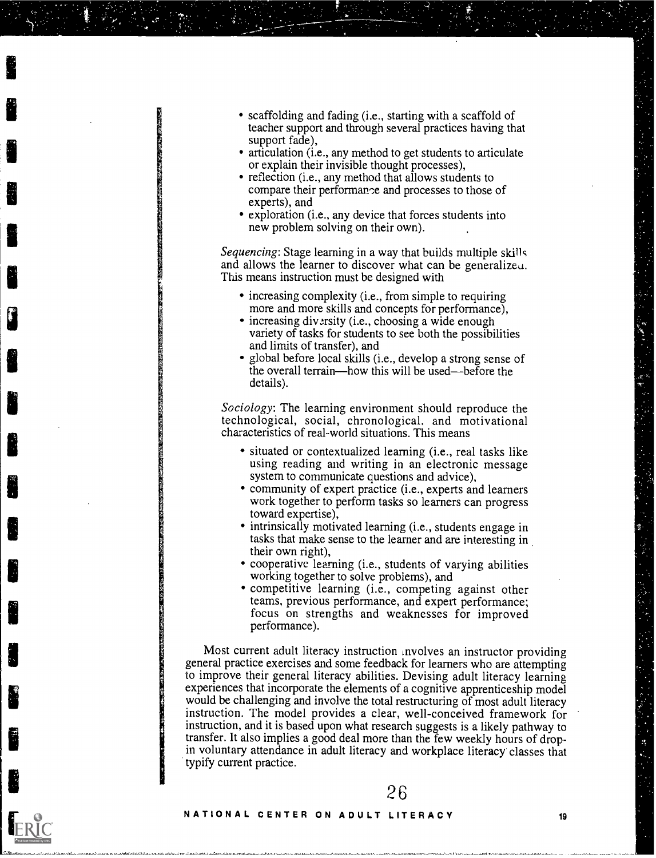- scaffolding and fading (i.e., starting with a scaffold of teacher support and through several practices having that support fade),
- articulation (i.e., any method to get students to articulate or explain their invisible thought processes),
- reflection (i.e., any method that allows students to compare their performance and processes to those of experts), and
- exploration (i.e., any device that forces students into new problem solving on their own).

Sequencing: Stage learning in a way that builds multiple skills and allows the learner to discover what can be generalizeu. This means instruction must be designed with

- increasing complexity (i.e., from simple to requiring more and more skills and concepts for performance),
- increasing diversity (i.e., choosing a wide enough variety of tasks for students to see both the possibilities and limits of transfer), and
- global before local skills (i.e., develop a strong sense of the overall terrain—how this will be used—before the details).

Sociology: The learning environment should reproduce the technological, social, chronological, and motivational characteristics of real-world situations. This means

- situated or contextualized learning (i.e., real tasks like using reading and writing in an electronic message system to communicate questions and advice),
- community of expert practice (i.e., experts and learners work together to perform tasks so learners can progress toward expertise),
- intrinsically motivated learning (i.e., students engage in tasks that make sense to the learner and are interesting in their own right),
- cooperative learning (i.e., students of varying abilities working together to solve problems), and
- competitive learning (i.e., competing against other teams, previous performance, and expert performance; focus on strengths and weaknesses for improved performance).

Most current adult literacy instruction involves an instructor providing general practice exercises and some feedback for learners who are attempting to improve their general literacy abilities. Devising adult literacy learning experiences that incorporate the elements of a cognitive apprenticeship model would be challenging and involve the total restructuring of most adult literacy instruction. The model provides a clear, well-conceived framework for instruction, and it is based upon what research suggests is a likely pathway to transfer. It also implies a good deal more than the few weekly hours of dropin voluntary attendance in adult literacy and workplace literacy classes that typify current practice.

#### NATIONAL CENTER ON ADULT LITERACY <sup>19</sup>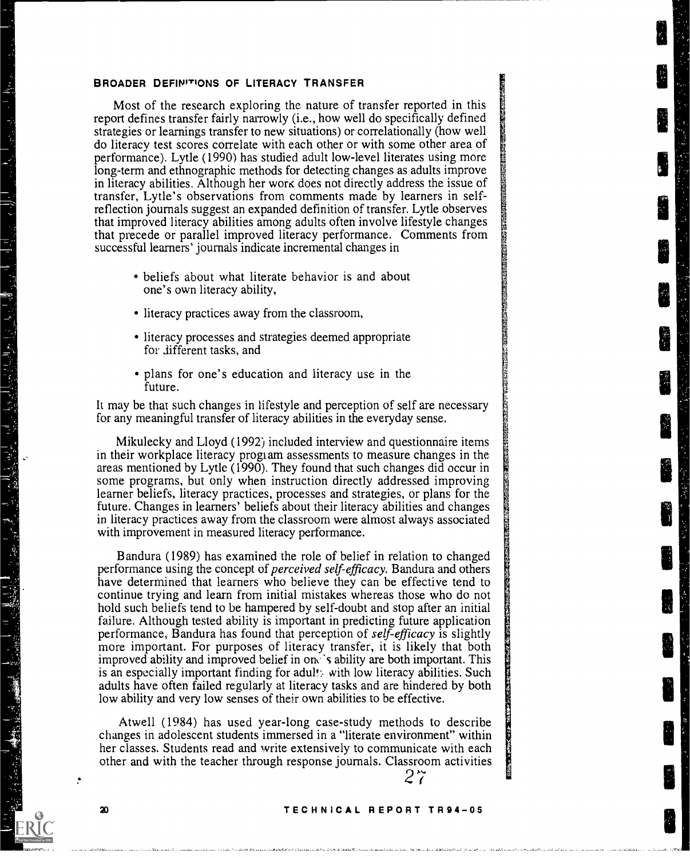#### BROADER DEFINITIONS OF LITERACY TRANSFER

Most of the research exploring the nature of transfer reported in this report defines transfer fairly narrowly (i.e., how well do specifically defined strategies or learnings transfer to new situations) or correlationally (how well do literacy test scores correlate with each other or with some other area of performance). Lytle (1990) has studied adult low-level literates using more long-term and ethnographic methods for detecting changes as adults improve in literacy abilities. Although her work does not directly address the issue of transfer, Lytle's observations from comments made by learners in selfreflection journals suggest an expanded definition of transfer. Lytle observes that improved literacy abilities among adults often involve lifestyle changes that precede or parallel improved literacy performance. Comments from successful learners' journals indicate incremental changes in

- beliefs about what literate behavior is and about one's own literacy ability,
- literacy practices away from the classroom,
- literacy processes and strategies deemed appropriate for different tasks, and
- plans for one's education and literacy use in the future.

It may be that such changes in lifestyle and perception of self are necessary for any meaningful transfer of literacy abilities in the everyday sense.

Mikulecky and Lloyd (1992) included interview and questionnaire items in their workplace literacy program assessments to measure changes in the areas mentioned by Lytle (1990). They found that such changes did occur in some programs, but only when instruction directly addressed improving learner beliefs, literacy practices, processes and strategies, or plans for the future. Changes in learners' beliefs about their literacy abilities and changes in literacy practices away from the classroom were almost always associated with improvement in measured literacy performance.

Bandura (1989) has examined the role of belief in relation to changed performance using the concept of perceived self-efficacy. Bandura and others have determined that learners who believe they can be effective tend to continue trying and learn from initial mistakes whereas those who do not hold such beliefs tend to be hampered by self-doubt and stop after an initial failure. Although tested ability is important in predicting future application performance, Bandura has found that perception of self-efficacy is slightly more important. For purposes of literacy transfer, it is likely that both improved ability and improved belief in one 's ability are both important. This is an especially important finding for adult: with low literacy abilities. Such adults have often failed regularly at literacy tasks and are hindered by both low ability and very low senses of their own abilities to be effective.

Atwell (1984) has used year-long case-study methods to describe changes in adolescent students immersed in a "literate environment" within her classes. Students read and write extensively to communicate with each other and with the teacher through response journals. Classroom activities

# 2 7

#### TECHNICAL REPORT TR94-05

20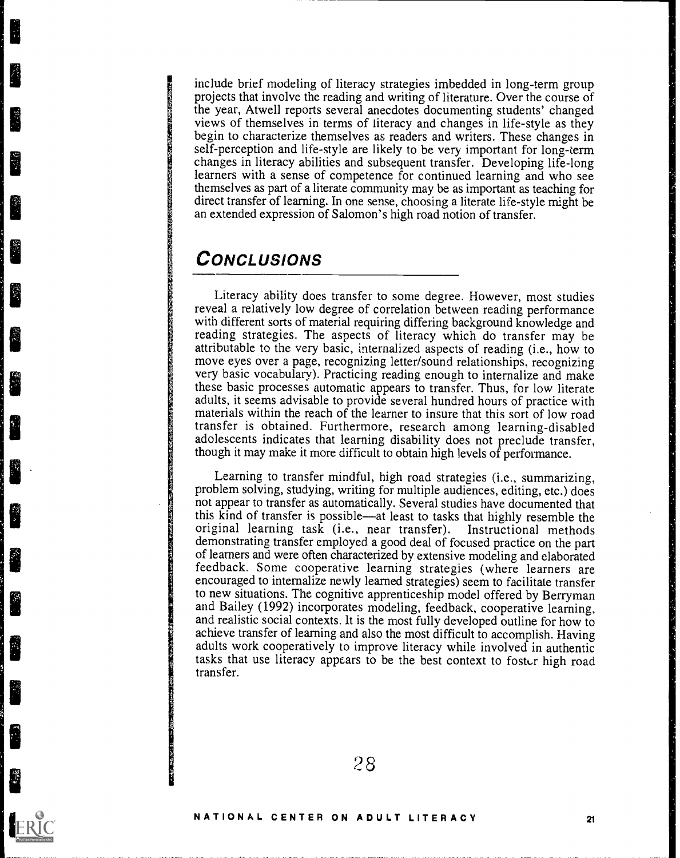include brief modeling of literacy strategies imbedded in long-term group projects that involve the reading and writing of literature. Over the course of the year, Atwell reports several anecdotes documenting students' changed views of themselves in terms of literacy and changes in life-style as they begin to characterize themselves as readers and writers. These changes in self-perception and life-style are likely to be very important for long-term changes in literacy abilities and subsequent transfer. Developing life-long learners with a sense of competence for continued learning and who see themselves as part of a literate community may be as important as teaching for direct transfer of learning. In one sense, choosing a literate life-style might be an extended expression of Salomon's high road notion of transfer.

# **CONCLUSIONS**

Literacy ability does transfer to some degree. However, most studies reveal a relatively low degree of correlation between reading performance with different sorts of material requiring differing background knowledge and reading strategies. The aspects of literacy which do transfer may be attributable to the very basic, internalized aspects of reading (i.e., how to move eyes over a page, recognizing letter/sound relationships, recognizing very basic vocabulary). Practicing reading enough to internalize and make these basic processes automatic appears to transfer. Thus, for low literate adults, it seems advisable to provide several hundred hours of practice with materials within the reach of the learner to insure that this sort of low road transfer is obtained. Furthermore, research among learning-disabled adolescents indicates that learning disability does not preclude transfer, though it may make it more difficult to obtain high levels of performance.

Learning to transfer mindful, high road strategies (i.e., summarizing, problem solving, studying, writing for multiple audiences, editing, etc.) does not appear to transfer as automatically. Several studies have documented that original learning task (i.e., near transfer). Instructional methods demonstrating transfer employed a good deal of focused practice on the part of learners and were often characterized by extensive modeling and elaborated feedback. Some cooperative learning strategies (where learners are encouraged to internalize newly learned strategies) seem to facilitate transfer to new situations. The cognitive apprenticeship model offered by Berryman and Bailey (1992) incorporates modeling, feedback, cooperative learning, and realistic social contexts. It is the most fully developed outline for how to achieve transfer of learning and also the most difficult to accomplish. Having adults work cooperatively to improve literacy while involved in authentic tasks that use literacy appears to be the best context to foster high road transfer.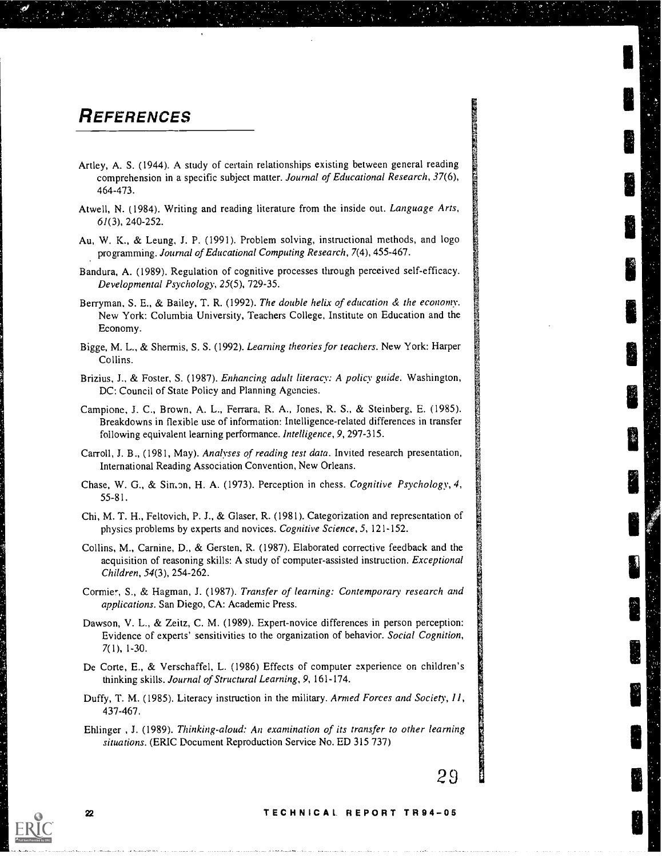# **REFERENCES**

- Artley, A. S. (1944). A study of certain relationships existing between general reading comprehension in a specific subject matter. Journal of Educational Research, 37(6), 464-473.
- Atwell, N. (1984). Writing and reading literature from the inside out. Language Arts, 61(3), 240-252.
- Au, W. K., & Leung, J. P. (1991). Problem solving, instructional methods, and logo programming. Journal of Educational Computing Research, 7(4), 455-467.
- Bandura, A. (1989). Regulation of cognitive processes through perceived self-efficacy. Developmental Psychology, 25(5), 729-35.
- Berryman, S. E., & Bailey, T. R. (1992). The double helix of education & the economy. New York: Columbia University, Teachers College, Institute on Education and the Economy.
- Bigge, M. L., & Shermis, S. S. (1992). Learning theories for teachers. New York: Harper Collins.
- Brizius, J., & Foster, S. (1987). Enhancing adult literacy: A policy guide. Washington, DC: Council of State Policy and Planning Agencies.
- Campione, J. C., Brown, A. L., Ferrara, R. A., Jones, R. S., & Steinberg, E. (1985). Breakdowns in flexible use of information: Intelligence-related differences in transfer following equivalent learning performance. Intelligence, 9, 297-315.
- Carroll, J. B., (1981, May). Analyses of reading test data. Invited research presentation, International Reading Association Convention, New Orleans.
- Chase, W. G., & Simon, H. A. (1973). Perception in chess. Cognitive Psychology, 4, 55-81.
- Chi, M. T. H., Feltovich, P. J., & Glaser, R. (1981). Categorization and representation of physics problems by experts and novices. Cognitive Science, 5, 121-152.
- Collins, M., Carnine, D., & Gersten, R. (1987). Elaborated corrective feedback and the acquisition of reasoning skills: A study of computer-assisted instruction. Exceptional Children, 54(3), 254-262.
- Cormier, S., & Hagman, J. (1987). Transfer of learning: Contemporary research and applications. San Diego, CA: Academic Press.
- Dawson, V. L., & Zeitz, C. M. (1989). Expert-novice differences in person perception: Evidence of experts' sensitivities to the organization of behavior. Social Cognition, 7(1), 1-30.
- De Corte, E., & Verschaffel, L. (1986) Effects of computer experience on children's thinking skills. Journal of Structural Learning, 9, 161-174.
- Duffy, T. M. (1985). Literacy instruction in the military. Armed Forces and Society, 11, 437-467.
- Ehlinger , J. (1989). Thinking-aloud: An examination of its transfer to other learning situations. (ERIC Document Reproduction Service No. ED 315 737)

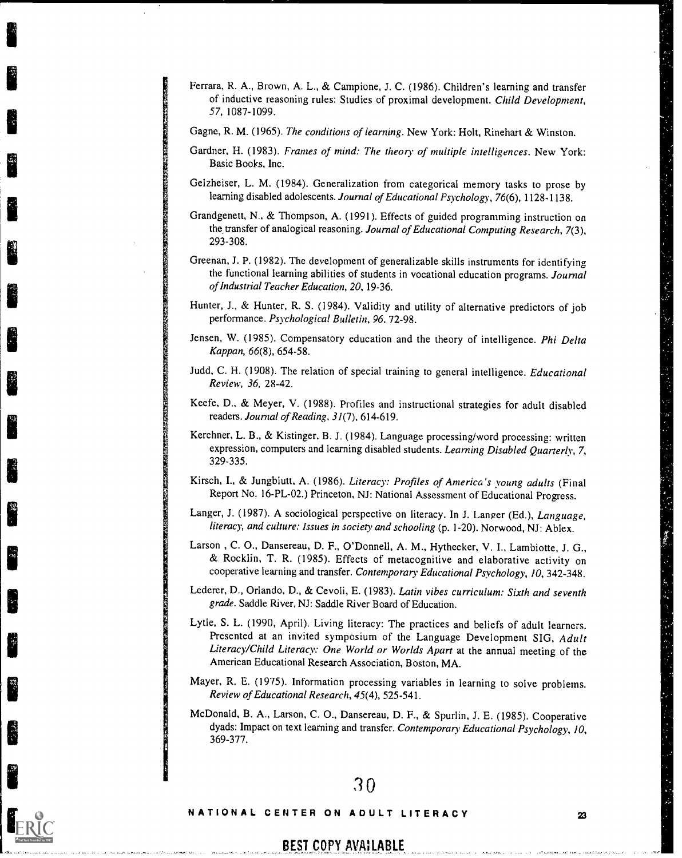- Ferrara, R. A., Brown, A. L., & Campione, J. C. (1986). Children's learning and transfer of inductive reasoning rules: Studies of proximal development. Child Development, 57, 1087-1099.
- Gagne, R. M. (1965). The conditions of learning. New York: Holt, Rinehart & Winston.
- Gardner, H. (1983). Frames of mind: The theory of multiple intelligences. New York: Basic Books, Inc.
- Gelzheiser, L. M. (1984). Generalization from categorical memory tasks to prose by learning disabled adolescents. Journal of Educational Psychology, 76(6), 1128-1138.
- Grandgenett, N., & Thompson, A. (1991). Effects of guided programming instruction on the transfer of analogical reasoning. Journal of Educational Computing Research, 7(3), 293-308.
- Greenan, J. P. (1982). The development of generalizable skills instruments for identifying the functional learning abilities of students in vocational education programs. Journal of Industrial Teacher Education, 20, 19-36.
- Hunter, J., & Hunter, R. S. (1984). Validity and utility of alternative predictors of job performance. Psychological Bulletin, 96. 72-98.
- Jensen, W. (1985). Compensatory education and the theory of intelligence. Phi Delta Kappan, 66(8), 654-58.
- Judd, C. H. (1908). The relation of special training to general intelligence. Educational Review, 36, 28-42.
- Keefe, D., & Meyer, V. (1988). Profiles and instructional strategies for adult disabled readers. Journal of Reading, 31(7), 614-619.
- Kerchner, L. B., & Kistinger, B. J. (1984). Language processingiword processing: written expression, computers and learning disabled students. Learning Disabled Quarterly, 7, 329-335.
- Kirsch, I., & Jungblutt, A. (1986). Literacy: Profiles of America's young adults (Final Report No. 16-PL-02.) Princeton, NJ: National Assessment of Educational Progress.
- Langer, J. (1987). A sociological perspective on literacy. In J. Langer (Ed.), Language, literacy, and culture: Issues in society and schooling (p. 1-20). Norwood, NJ: Ablex.
- Larson , C. 0., Dansereau, D. F., O'Donnell, A. M., Hythecker, V. I., Lambiotte, J. G., & Rocklin, T. R. (1985). Effects of metacognitive and elaborative activity on cooperative learning and transfer. Contemporary Educational Psychology, 10, 342-348.
- Lederer, D., Orlando, D., & Cevoli, E. (1983). Latin vibes curriculum: Sixth and seventh grade. Saddle River, NJ: Saddle River Board of Education.
- Lytle, S. L. (1990, April). Living literacy: The practices and beliefs of adult learners. Presented at an invited symposium of the Language Development SIG, Adult Literacy/Child Literacy: One World or Worlds Apart at the annual meeting of the American Educational Research Association, Boston, MA.
- Mayer, R. E. (1975). Information processing variables in learning to solve problems. Review of Educational Research, 45(4), 525-541.
- McDonald, B. A., Larson, C. 0., Dansereau, D. F., & Spurlin, J. E. (1985). Cooperative dyads: Impact on text learning and transfer. Contemporary Educational Psychology, 10, 369-377.

# NATIONAL CENTER ON ADULT LITERACY <sup>23</sup>

BEST COPY AVAILABLE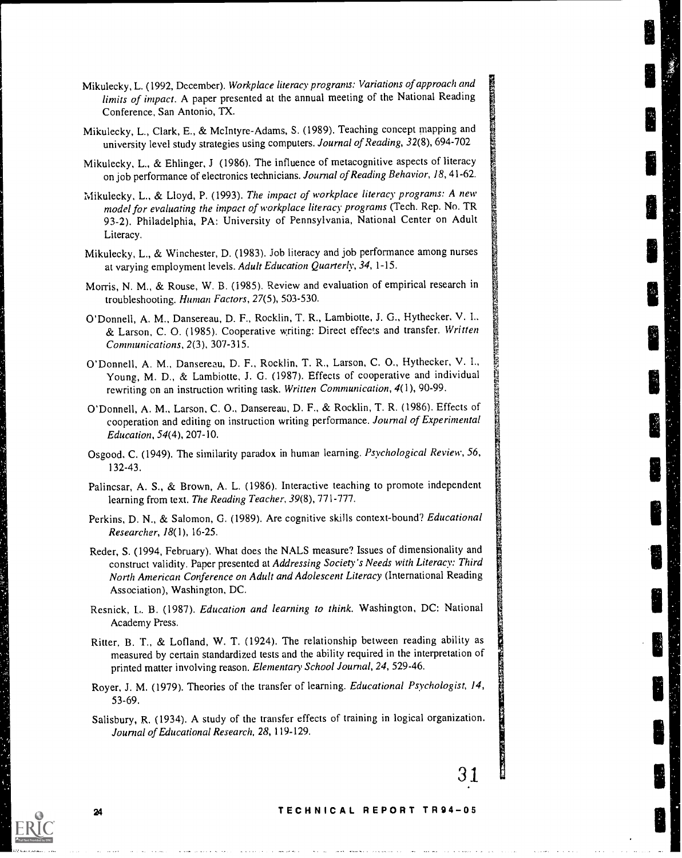- Mikulecky, L., Clark, E., & McIntyre-Adams, S. (1989). Teaching concept mapping and university level study strategies using computers. Journal of Reading, 32(8), 694-702
- Mikulecky, L., & Ehlinger, J (1986). The influence of metacognitive aspects of literacy on job performance of electronics technicians. Journal of Reading Behavior, 18, 41-62.
- Mikulecky, L., & Lloyd, P. (1993). The impact of workplace literacy programs: A new model for evaluating the impact of workplace literacy programs (Tech. Rep. No. TR 93-2). Philadelphia, PA: University of Pennsylvania, National Center on Adult Literacy.
- Mikulecky, L., & Winchester, D. (1983). Job literacy and job performance among nurses at varying employment levels. Adult Education Quarterly, 34,1-15.
- Morris, N. M., & Rouse, W. B. (1985). Review and evaluation of empirical research in troubleshooting. Human Factors, 27(5), 503-530.
- O'Donnell, A. M., Dansereau, D. F., Rocklin, T. R., Lambiotte, J. G., Hythecker, V. I.. & Larson, C. 0. (1985). Cooperative writing: Direct effects and transfer. Written Communications, 2(3), 307-315.
- O'Donnell, A. M., Dansereau, D. F., Rocklin, T. R., Larson, C. 0., Hythecker, V. I., Young, M. D., & Lambiotte, J. G. (1987). Effects of cooperative and individual rewriting on an instruction writing task. Written Communication, 4(1), 90-99.
- O'Donnell, A. M., Larson, C. 0., Dansereau, D. F., & Rocklin, T. R. (1986). Effects of cooperation and editing on instruction writing performance. Journal of Experimental Education, 54(4), 207-10.
- Osgood. C. (1949). The similarity paradox in human learning. Psychological Review, 56, 132-43.
- Palincsar, A. S., & Brown, A. L. (1986). Interactive teaching to promote independent learning from text. The Reading Teacher, 39(8), 771-777.
- Perkins, D. N., & Salomon, G. (1989). Are cognitive skills context-bound? Educational Researcher, 18(1), 16-25.
- Reder, S. (1994, February). What does the NALS measure? Issues of dimensionality and construct validity. Paper presented at Addressing Society's Needs with Literacy: Third North American Conference on Adult and Adolescent Literacy (International Reading Association), Washington, DC.
- Resnick, L. B. (1987). Education and learning to think. Washington, DC: National Academy Press.
- Ritter, B. T., & Lofland, W. T. (1924). The relationship between reading ability as measured by certain standardized tests and the ability required in the interpretation of printed matter involving reason. Elementary School Journal, 24, 529-46.
- Royer, J. M. (1979). Theories of the transfer of learning. Educational Psychologist, 14, 53-69.
- Salisbury, R. (1934). A study of the transfer effects of training in logical organization. Journal of Educational Research, 28, 119-129.